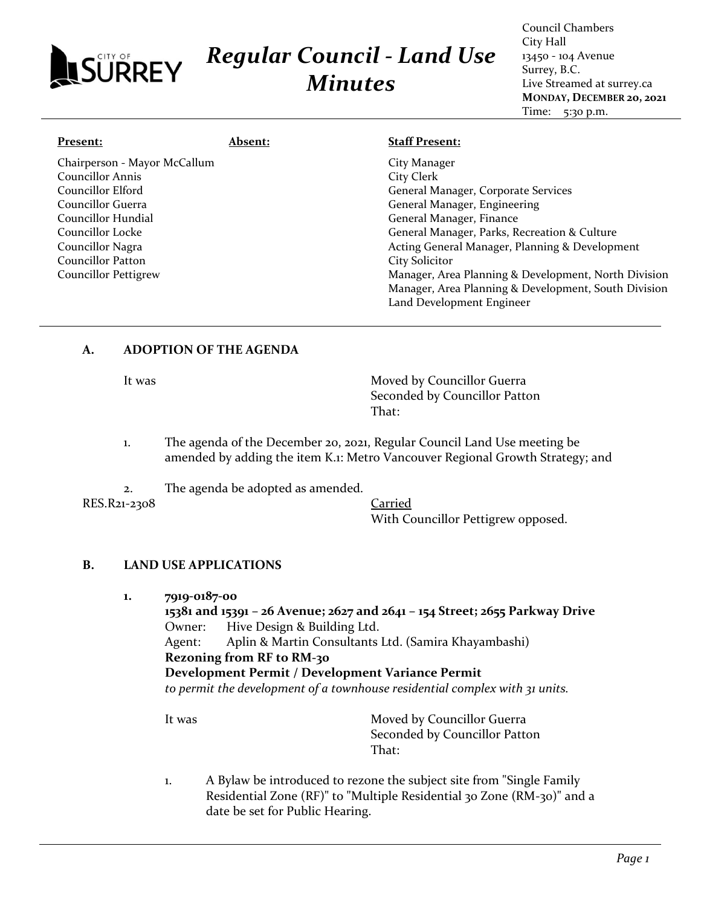# *Regular Council - Land Use Minutes*

Council Chambers City Hall 13450 - 104 Avenue Surrey, B.C. Live Streamed at surrey.ca **MONDAY, DECEMBER 20, 2021** Time: 5:30 p.m.

| Present:                     | <b>Absent:</b> | <b>Staff Present:</b>                                |
|------------------------------|----------------|------------------------------------------------------|
| Chairperson - Mayor McCallum |                | City Manager                                         |
| <b>Councillor Annis</b>      |                | City Clerk                                           |
| Councillor Elford            |                | General Manager, Corporate Services                  |
| Councillor Guerra            |                | General Manager, Engineering                         |
| Councillor Hundial           |                | General Manager, Finance                             |
| Councillor Locke             |                | General Manager, Parks, Recreation & Culture         |
| Councillor Nagra             |                | Acting General Manager, Planning & Development       |
| Councillor Patton            |                | City Solicitor                                       |
| <b>Councillor Pettigrew</b>  |                | Manager, Area Planning & Development, North Division |
|                              |                | Manager, Area Planning & Development, South Division |
|                              |                | Land Development Engineer                            |

# **A. ADOPTION OF THE AGENDA**

SURREY

It was **Moved by Councillor Guerra** Seconded by Councillor Patton That:

- 1. The agenda of the December 20, 2021, Regular Council Land Use meeting be amended by adding the item K.1: Metro Vancouver Regional Growth Strategy; and
- 2. The agenda be adopted as amended.

RES.R21-2308 Carried

With Councillor Pettigrew opposed.

### **B. LAND USE APPLICATIONS**

**1. 7919-0187-00**

**15381 and 15391 – 26 Avenue; 2627 and 2641 – 154 Street; 2655 Parkway Drive** Owner: Hive Design & Building Ltd. Agent: Aplin & Martin Consultants Ltd. (Samira Khayambashi) **Rezoning from RF to RM-30 Development Permit / Development Variance Permit** *to permit the development of a townhouse residential complex with 31 units.*

It was **Moved by Councillor Guerra** Seconded by Councillor Patton That:

1. A Bylaw be introduced to rezone the subject site from "Single Family Residential Zone (RF)" to "Multiple Residential 30 Zone (RM-30)" and a date be set for Public Hearing.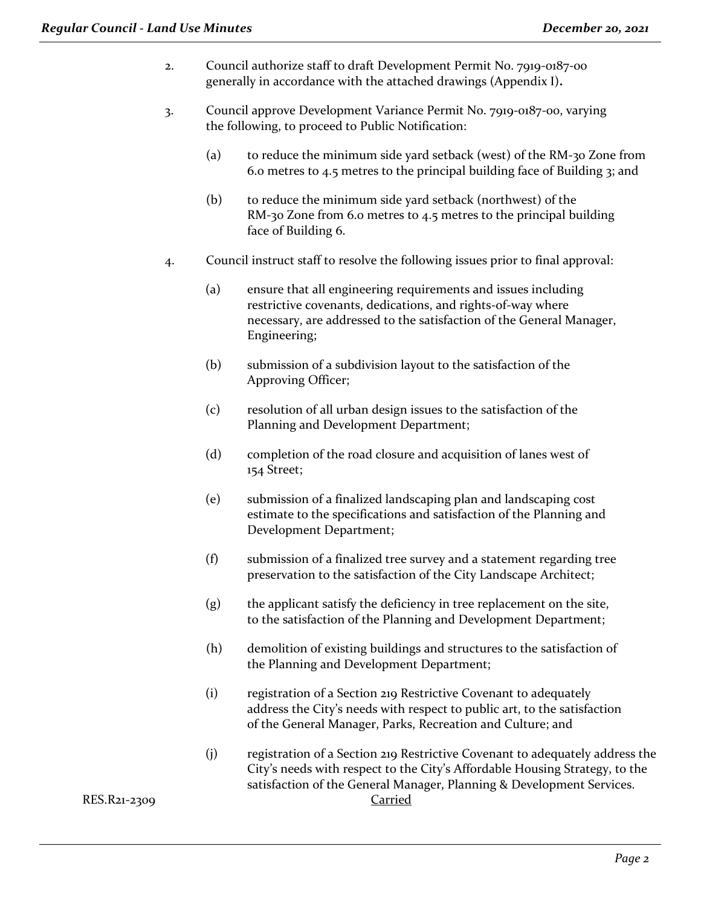- 2. Council authorize staff to draft Development Permit No. 7919-0187-00 generally in accordance with the attached drawings (Appendix I)**.**
- 3. Council approve Development Variance Permit No. 7919-0187-00, varying the following, to proceed to Public Notification:
	- (a) to reduce the minimum side yard setback (west) of the RM-30 Zone from 6.0 metres to 4.5 metres to the principal building face of Building 3; and
	- (b) to reduce the minimum side yard setback (northwest) of the RM-30 Zone from 6.0 metres to 4.5 metres to the principal building face of Building 6.
- 4. Council instruct staff to resolve the following issues prior to final approval:
	- (a) ensure that all engineering requirements and issues including restrictive covenants, dedications, and rights-of-way where necessary, are addressed to the satisfaction of the General Manager, Engineering;
	- (b) submission of a subdivision layout to the satisfaction of the Approving Officer;
	- (c) resolution of all urban design issues to the satisfaction of the Planning and Development Department;
	- (d) completion of the road closure and acquisition of lanes west of 154 Street;
	- (e) submission of a finalized landscaping plan and landscaping cost estimate to the specifications and satisfaction of the Planning and Development Department;
	- (f) submission of a finalized tree survey and a statement regarding tree preservation to the satisfaction of the City Landscape Architect;
	- (g) the applicant satisfy the deficiency in tree replacement on the site, to the satisfaction of the Planning and Development Department;
	- (h) demolition of existing buildings and structures to the satisfaction of the Planning and Development Department;
	- (i) registration of a Section 219 Restrictive Covenant to adequately address the City's needs with respect to public art, to the satisfaction of the General Manager, Parks, Recreation and Culture; and
- (j) registration of a Section 219 Restrictive Covenant to adequately address the City's needs with respect to the City's Affordable Housing Strategy, to the satisfaction of the General Manager, Planning & Development Services. RES.R21-2309 Carried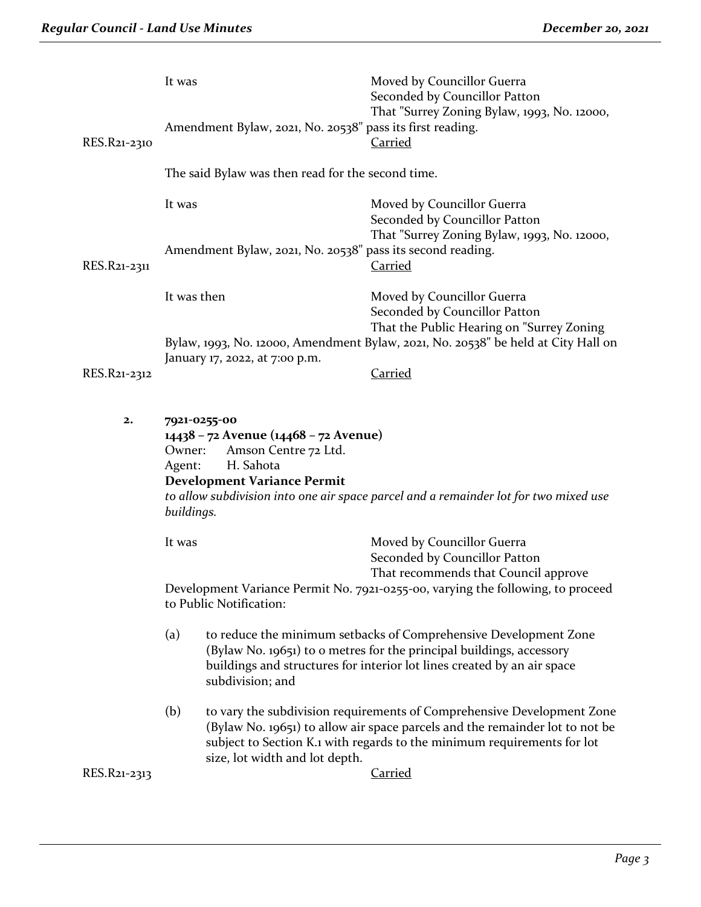| RES.R21-2310   | It was<br>Amendment Bylaw, 2021, No. 20538" pass its first reading.                                                                                                                                                                                        | Moved by Councillor Guerra<br>Seconded by Councillor Patton<br>That "Surrey Zoning Bylaw, 1993, No. 12000,<br><u>Carried</u>                                                                                                                        |  |
|----------------|------------------------------------------------------------------------------------------------------------------------------------------------------------------------------------------------------------------------------------------------------------|-----------------------------------------------------------------------------------------------------------------------------------------------------------------------------------------------------------------------------------------------------|--|
|                | The said Bylaw was then read for the second time.                                                                                                                                                                                                          |                                                                                                                                                                                                                                                     |  |
|                | It was                                                                                                                                                                                                                                                     | Moved by Councillor Guerra<br>Seconded by Councillor Patton                                                                                                                                                                                         |  |
| RES.R21-2311   | Amendment Bylaw, 2021, No. 20538" pass its second reading.                                                                                                                                                                                                 | That "Surrey Zoning Bylaw, 1993, No. 12000,<br><b>Carried</b>                                                                                                                                                                                       |  |
|                | It was then                                                                                                                                                                                                                                                | Moved by Councillor Guerra<br>Seconded by Councillor Patton<br>That the Public Hearing on "Surrey Zoning                                                                                                                                            |  |
|                | January 17, 2022, at 7:00 p.m.                                                                                                                                                                                                                             | Bylaw, 1993, No. 12000, Amendment Bylaw, 2021, No. 20538" be held at City Hall on                                                                                                                                                                   |  |
| RES.R21-2312   |                                                                                                                                                                                                                                                            | <b>Carried</b>                                                                                                                                                                                                                                      |  |
| $\mathbf{2}$ . | 7921-0255-00<br>14438 - 72 Avenue (14468 - 72 Avenue)<br>Amson Centre 72 Ltd.<br>Owner:<br>H. Sahota<br>Agent:<br><b>Development Variance Permit</b><br>to allow subdivision into one air space parcel and a remainder lot for two mixed use<br>buildings. |                                                                                                                                                                                                                                                     |  |
|                | It was                                                                                                                                                                                                                                                     | Moved by Councillor Guerra<br>Seconded by Councillor Patton                                                                                                                                                                                         |  |
|                | to Public Notification:                                                                                                                                                                                                                                    | That recommends that Council approve<br>Development Variance Permit No. 7921-0255-00, varying the following, to proceed                                                                                                                             |  |
|                | (a)<br>subdivision; and                                                                                                                                                                                                                                    | to reduce the minimum setbacks of Comprehensive Development Zone<br>(Bylaw No. 19651) to o metres for the principal buildings, accessory<br>buildings and structures for interior lot lines created by an air space                                 |  |
| RES.R21-2313   | (b)<br>size, lot width and lot depth.                                                                                                                                                                                                                      | to vary the subdivision requirements of Comprehensive Development Zone<br>(Bylaw No. 19651) to allow air space parcels and the remainder lot to not be<br>subject to Section K.1 with regards to the minimum requirements for lot<br><b>Carried</b> |  |
|                |                                                                                                                                                                                                                                                            |                                                                                                                                                                                                                                                     |  |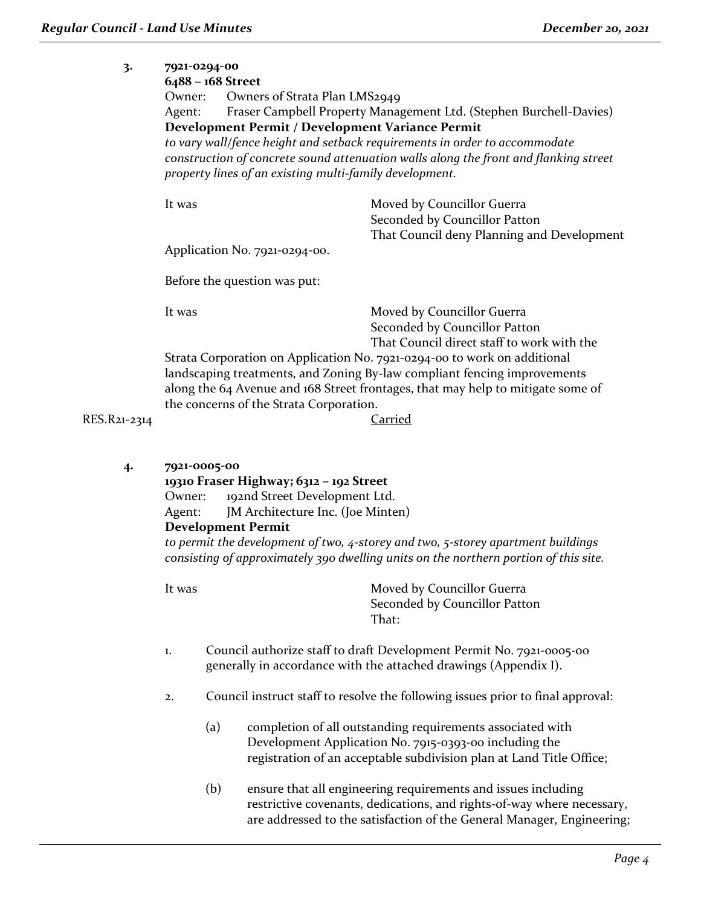| 3.      | 7921-0294-00                                            |                                                                                                                                                                                                                                         |
|---------|---------------------------------------------------------|-----------------------------------------------------------------------------------------------------------------------------------------------------------------------------------------------------------------------------------------|
|         | 6488 - 168 Street                                       |                                                                                                                                                                                                                                         |
|         | Owners of Strata Plan LMS2949<br>Owner:                 |                                                                                                                                                                                                                                         |
|         | Agent:                                                  | Fraser Campbell Property Management Ltd. (Stephen Burchell-Davies)                                                                                                                                                                      |
|         | Development Permit / Development Variance Permit        |                                                                                                                                                                                                                                         |
|         |                                                         | to vary wall/fence height and setback requirements in order to accommodate                                                                                                                                                              |
|         | property lines of an existing multi-family development. | construction of concrete sound attenuation walls along the front and flanking street                                                                                                                                                    |
|         | It was                                                  | Moved by Councillor Guerra<br>Seconded by Councillor Patton                                                                                                                                                                             |
|         | Application No. 7921-0294-00.                           | That Council deny Planning and Development                                                                                                                                                                                              |
|         | Before the question was put:                            |                                                                                                                                                                                                                                         |
|         | It was                                                  | Moved by Councillor Guerra                                                                                                                                                                                                              |
|         |                                                         | Seconded by Councillor Patton                                                                                                                                                                                                           |
|         |                                                         | That Council direct staff to work with the                                                                                                                                                                                              |
|         | the concerns of the Strata Corporation.                 | Strata Corporation on Application No. 7921-0294-00 to work on additional<br>landscaping treatments, and Zoning By-law compliant fencing improvements<br>along the 64 Avenue and 168 Street frontages, that may help to mitigate some of |
| $-2314$ |                                                         | Carried                                                                                                                                                                                                                                 |
|         |                                                         |                                                                                                                                                                                                                                         |

RES.R21-231

#### **4. 7921-0005-00**

**19310 Fraser Highway; 6312 – 192 Street**

Owner: 192nd Street Development Ltd. Agent: JM Architecture Inc. (Joe Minten)

**Development Permit**

*to permit the development of two, 4-storey and two, 5-storey apartment buildings consisting of approximately 390 dwelling units on the northern portion of this site.*

- 1. Council authorize staff to draft Development Permit No. 7921-0005-00 generally in accordance with the attached drawings (Appendix I).
- 2. Council instruct staff to resolve the following issues prior to final approval:
	- (a) completion of all outstanding requirements associated with Development Application No. 7915-0393-00 including the registration of an acceptable subdivision plan at Land Title Office;
	- (b) ensure that all engineering requirements and issues including restrictive covenants, dedications, and rights-of-way where necessary, are addressed to the satisfaction of the General Manager, Engineering;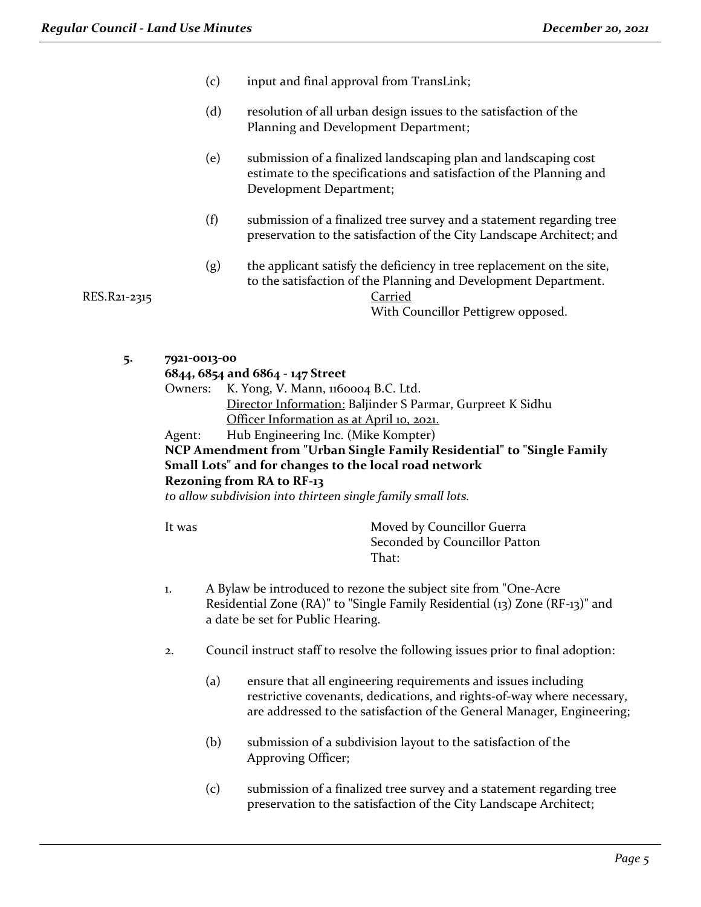- (c) input and final approval from TransLink;
- (d) resolution of all urban design issues to the satisfaction of the Planning and Development Department;
- (e) submission of a finalized landscaping plan and landscaping cost estimate to the specifications and satisfaction of the Planning and Development Department;
- (f) submission of a finalized tree survey and a statement regarding tree preservation to the satisfaction of the City Landscape Architect; and
- (g) the applicant satisfy the deficiency in tree replacement on the site, to the satisfaction of the Planning and Development Department.

RES.R21-2315 Carried

**5. 7921-0013-00**

|         | 6844, 6854 and 6864 - 147 Street                                       |
|---------|------------------------------------------------------------------------|
| Owners: | K. Yong, V. Mann, 1160004 B.C. Ltd.                                    |
|         | Director Information: Baljinder S Parmar, Gurpreet K Sidhu             |
|         | Officer Information as at April 10, 2021.                              |
| Agent:  | Hub Engineering Inc. (Mike Kompter)                                    |
|         | NCP Amendment from "Urban Single Family Residential" to "Single Family |
|         | Small Lots" and for changes to the local road network                  |

#### **Rezoning from RA to RF-13**

*to allow subdivision into thirteen single family small lots.*

It was **Moved by Councillor Guerra** Seconded by Councillor Patton That:

With Councillor Pettigrew opposed.

- 1. A Bylaw be introduced to rezone the subject site from "One-Acre Residential Zone (RA)" to "Single Family Residential (13) Zone (RF-13)" and a date be set for Public Hearing.
- 2. Council instruct staff to resolve the following issues prior to final adoption:
	- (a) ensure that all engineering requirements and issues including restrictive covenants, dedications, and rights-of-way where necessary, are addressed to the satisfaction of the General Manager, Engineering;
	- (b) submission of a subdivision layout to the satisfaction of the Approving Officer;
	- (c) submission of a finalized tree survey and a statement regarding tree preservation to the satisfaction of the City Landscape Architect;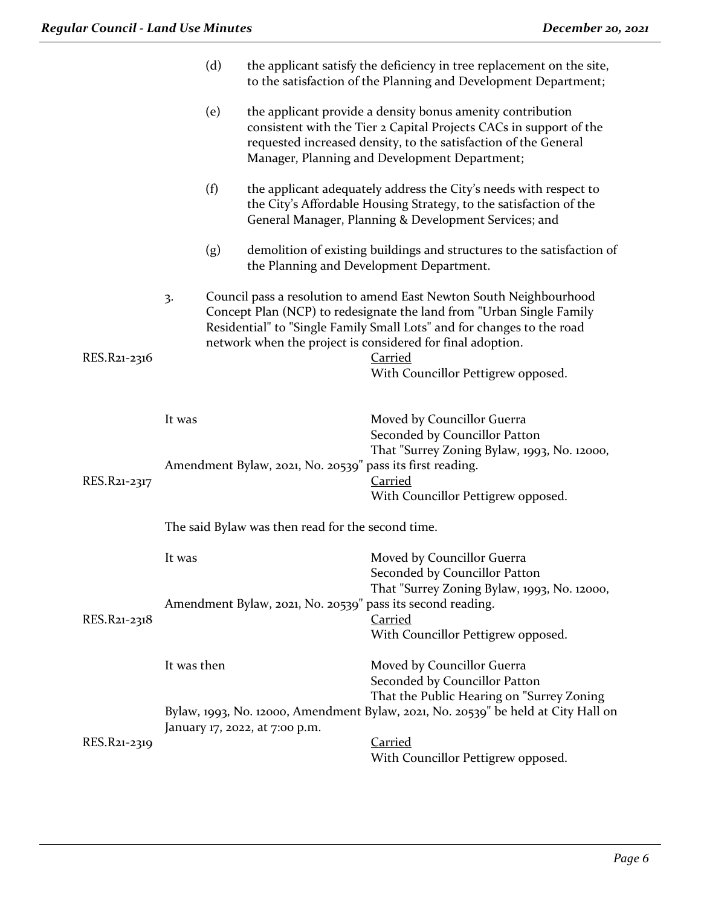|              |                                                   | (d) |                                                           | the applicant satisfy the deficiency in tree replacement on the site,<br>to the satisfaction of the Planning and Development Department;                                                                                                                                                                                                   |
|--------------|---------------------------------------------------|-----|-----------------------------------------------------------|--------------------------------------------------------------------------------------------------------------------------------------------------------------------------------------------------------------------------------------------------------------------------------------------------------------------------------------------|
|              |                                                   | (e) |                                                           | the applicant provide a density bonus amenity contribution<br>consistent with the Tier 2 Capital Projects CACs in support of the<br>requested increased density, to the satisfaction of the General<br>Manager, Planning and Development Department;                                                                                       |
|              |                                                   | (f) |                                                           | the applicant adequately address the City's needs with respect to<br>the City's Affordable Housing Strategy, to the satisfaction of the<br>General Manager, Planning & Development Services; and                                                                                                                                           |
|              |                                                   | (g) |                                                           | demolition of existing buildings and structures to the satisfaction of<br>the Planning and Development Department.                                                                                                                                                                                                                         |
| RES.R21-2316 | 3.                                                |     |                                                           | Council pass a resolution to amend East Newton South Neighbourhood<br>Concept Plan (NCP) to redesignate the land from "Urban Single Family<br>Residential" to "Single Family Small Lots" and for changes to the road<br>network when the project is considered for final adoption.<br><b>Carried</b><br>With Councillor Pettigrew opposed. |
| RES.R21-2317 | It was                                            |     | Amendment Bylaw, 2021, No. 20539" pass its first reading. | Moved by Councillor Guerra<br>Seconded by Councillor Patton<br>That "Surrey Zoning Bylaw, 1993, No. 12000,<br><b>Carried</b><br>With Councillor Pettigrew opposed.                                                                                                                                                                         |
|              | The said Bylaw was then read for the second time. |     |                                                           |                                                                                                                                                                                                                                                                                                                                            |
|              | It was                                            |     |                                                           | Moved by Councillor Guerra<br>Seconded by Councillor Patton<br>That "Surrey Zoning Bylaw, 1993, No. 12000,                                                                                                                                                                                                                                 |
| RES.R21-2318 |                                                   |     |                                                           | Amendment Bylaw, 2021, No. 20539" pass its second reading.<br>Carried<br>With Councillor Pettigrew opposed.                                                                                                                                                                                                                                |
|              | It was then                                       |     |                                                           | Moved by Councillor Guerra<br>Seconded by Councillor Patton<br>That the Public Hearing on "Surrey Zoning                                                                                                                                                                                                                                   |
|              |                                                   |     | January 17, 2022, at 7:00 p.m.                            | Bylaw, 1993, No. 12000, Amendment Bylaw, 2021, No. 20539" be held at City Hall on                                                                                                                                                                                                                                                          |
| RES.R21-2319 |                                                   |     |                                                           | <b>Carried</b><br>With Councillor Pettigrew opposed.                                                                                                                                                                                                                                                                                       |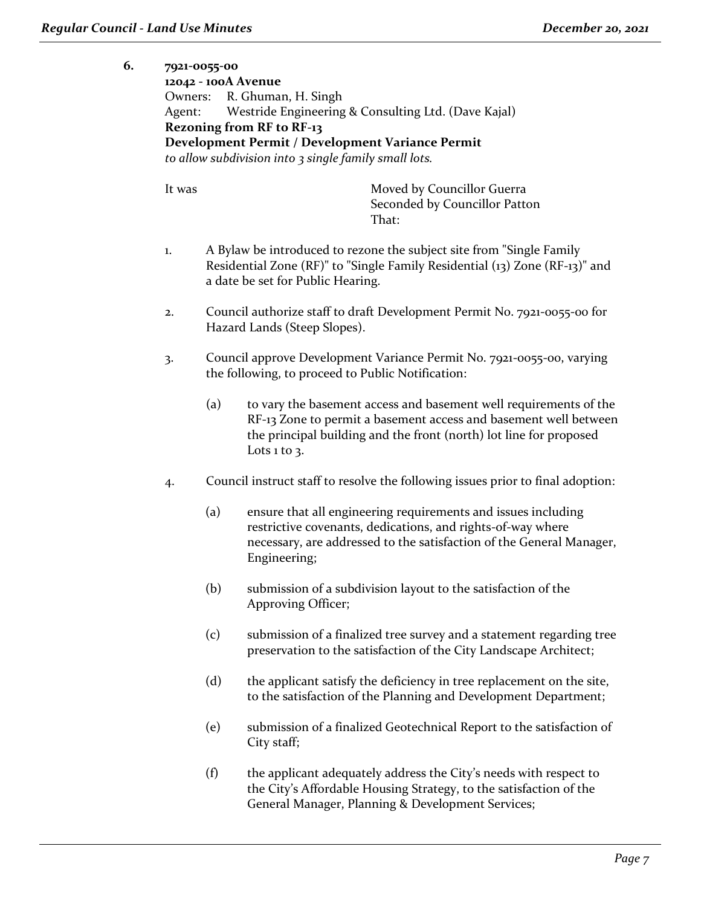## **6. 7921-0055-00 12042 - 100A Avenue** Owners: R. Ghuman, H. Singh Agent: Westride Engineering & Consulting Ltd. (Dave Kajal) **Rezoning from RF to RF-13 Development Permit / Development Variance Permit** *to allow subdivision into 3 single family small lots.*

- 1. A Bylaw be introduced to rezone the subject site from "Single Family Residential Zone (RF)" to "Single Family Residential (13) Zone (RF-13)" and a date be set for Public Hearing.
- 2. Council authorize staff to draft Development Permit No. 7921-0055-00 for Hazard Lands (Steep Slopes).
- 3. Council approve Development Variance Permit No. 7921-0055-00, varying the following, to proceed to Public Notification:
	- (a) to vary the basement access and basement well requirements of the RF-13 Zone to permit a basement access and basement well between the principal building and the front (north) lot line for proposed Lots  $1$  to  $3$ .
- 4. Council instruct staff to resolve the following issues prior to final adoption:
	- (a) ensure that all engineering requirements and issues including restrictive covenants, dedications, and rights-of-way where necessary, are addressed to the satisfaction of the General Manager, Engineering;
	- (b) submission of a subdivision layout to the satisfaction of the Approving Officer;
	- (c) submission of a finalized tree survey and a statement regarding tree preservation to the satisfaction of the City Landscape Architect;
	- (d) the applicant satisfy the deficiency in tree replacement on the site, to the satisfaction of the Planning and Development Department;
	- (e) submission of a finalized Geotechnical Report to the satisfaction of City staff;
	- (f) the applicant adequately address the City's needs with respect to the City's Affordable Housing Strategy, to the satisfaction of the General Manager, Planning & Development Services;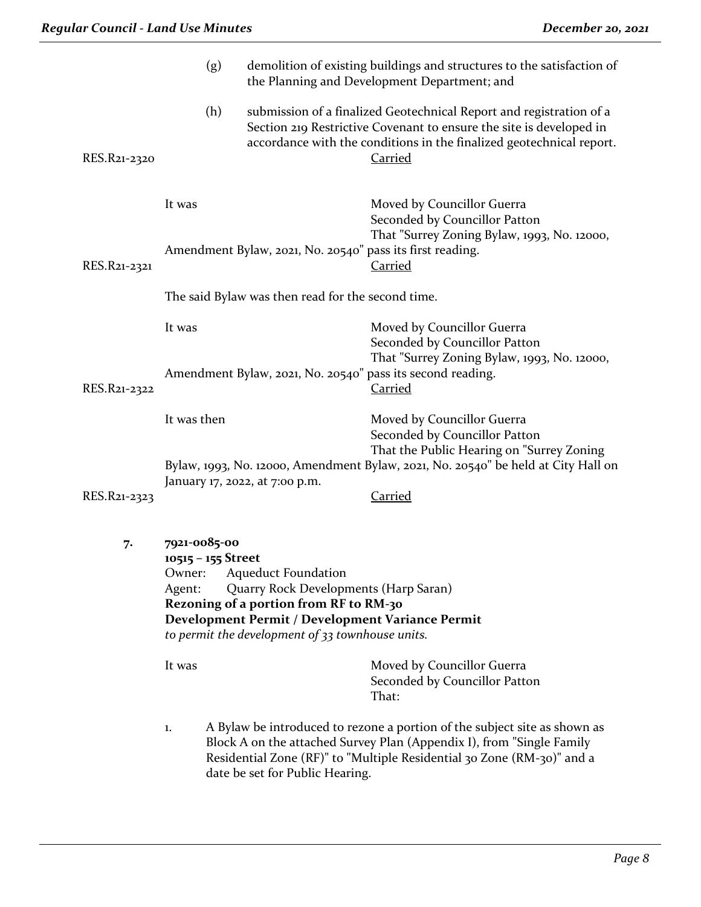|              | (g)                                                    |                                                                                                                                                                                                                       | demolition of existing buildings and structures to the satisfaction of<br>the Planning and Development Department; and                                                                                                               |  |  |
|--------------|--------------------------------------------------------|-----------------------------------------------------------------------------------------------------------------------------------------------------------------------------------------------------------------------|--------------------------------------------------------------------------------------------------------------------------------------------------------------------------------------------------------------------------------------|--|--|
| RES.R21-2320 | (h)                                                    |                                                                                                                                                                                                                       | submission of a finalized Geotechnical Report and registration of a<br>Section 219 Restrictive Covenant to ensure the site is developed in<br>accordance with the conditions in the finalized geotechnical report.<br><u>Carried</u> |  |  |
| RES.R21-2321 | It was                                                 | Amendment Bylaw, 2021, No. 20540" pass its first reading.                                                                                                                                                             | Moved by Councillor Guerra<br>Seconded by Councillor Patton<br>That "Surrey Zoning Bylaw, 1993, No. 12000,<br><b>Carried</b>                                                                                                         |  |  |
|              |                                                        | The said Bylaw was then read for the second time.                                                                                                                                                                     |                                                                                                                                                                                                                                      |  |  |
|              | It was                                                 |                                                                                                                                                                                                                       | Moved by Councillor Guerra<br>Seconded by Councillor Patton<br>That "Surrey Zoning Bylaw, 1993, No. 12000,                                                                                                                           |  |  |
| RES.R21-2322 |                                                        |                                                                                                                                                                                                                       | Amendment Bylaw, 2021, No. 20540" pass its second reading.<br><b>Carried</b>                                                                                                                                                         |  |  |
|              | It was then                                            |                                                                                                                                                                                                                       | Moved by Councillor Guerra<br>Seconded by Councillor Patton<br>That the Public Hearing on "Surrey Zoning<br>Bylaw, 1993, No. 12000, Amendment Bylaw, 2021, No. 20540" be held at City Hall on                                        |  |  |
| RES.R21-2323 |                                                        | January 17, 2022, at 7:00 p.m.                                                                                                                                                                                        | <b>Carried</b>                                                                                                                                                                                                                       |  |  |
| 7.           | 7921-0085-00<br>10515 - 155 Street<br>Owner:<br>Agent: | <b>Aqueduct Foundation</b><br>Quarry Rock Developments (Harp Saran)<br>Rezoning of a portion from RF to RM-30<br>Development Permit / Development Variance Permit<br>to permit the development of 33 townhouse units. |                                                                                                                                                                                                                                      |  |  |
|              | It was                                                 |                                                                                                                                                                                                                       | Moved by Councillor Guerra<br>Seconded by Councillor Patton<br>That:                                                                                                                                                                 |  |  |

1. A Bylaw be introduced to rezone a portion of the subject site as shown as Block A on the attached Survey Plan (Appendix I), from "Single Family Residential Zone (RF)" to "Multiple Residential 30 Zone (RM-30)" and a date be set for Public Hearing.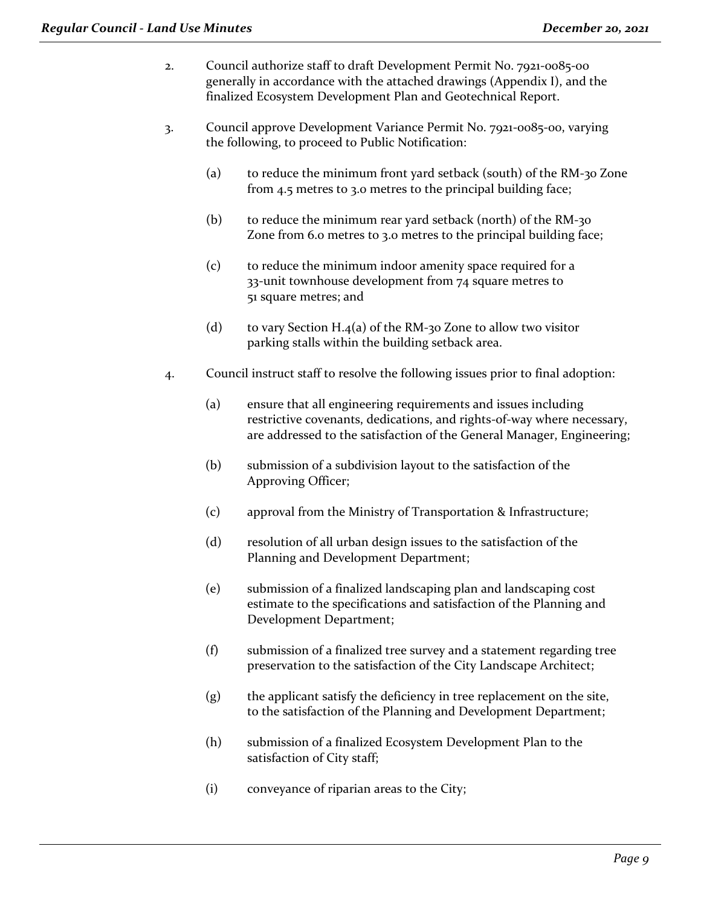- 2. Council authorize staff to draft Development Permit No. 7921-0085-00 generally in accordance with the attached drawings (Appendix I), and the finalized Ecosystem Development Plan and Geotechnical Report.
- 3. Council approve Development Variance Permit No. 7921-0085-00, varying the following, to proceed to Public Notification:
	- (a) to reduce the minimum front yard setback (south) of the RM-30 Zone from 4.5 metres to 3.0 metres to the principal building face;
	- (b) to reduce the minimum rear yard setback (north) of the RM-30 Zone from 6.0 metres to 3.0 metres to the principal building face;
	- (c) to reduce the minimum indoor amenity space required for a 33-unit townhouse development from 74 square metres to 51 square metres; and
	- (d) to vary Section H.4(a) of the RM-30 Zone to allow two visitor parking stalls within the building setback area.
- 4. Council instruct staff to resolve the following issues prior to final adoption:
	- (a) ensure that all engineering requirements and issues including restrictive covenants, dedications, and rights-of-way where necessary, are addressed to the satisfaction of the General Manager, Engineering;
	- (b) submission of a subdivision layout to the satisfaction of the Approving Officer;
	- (c) approval from the Ministry of Transportation & Infrastructure;
	- (d) resolution of all urban design issues to the satisfaction of the Planning and Development Department;
	- (e) submission of a finalized landscaping plan and landscaping cost estimate to the specifications and satisfaction of the Planning and Development Department;
	- (f) submission of a finalized tree survey and a statement regarding tree preservation to the satisfaction of the City Landscape Architect;
	- (g) the applicant satisfy the deficiency in tree replacement on the site, to the satisfaction of the Planning and Development Department;
	- (h) submission of a finalized Ecosystem Development Plan to the satisfaction of City staff;
	- (i) conveyance of riparian areas to the City;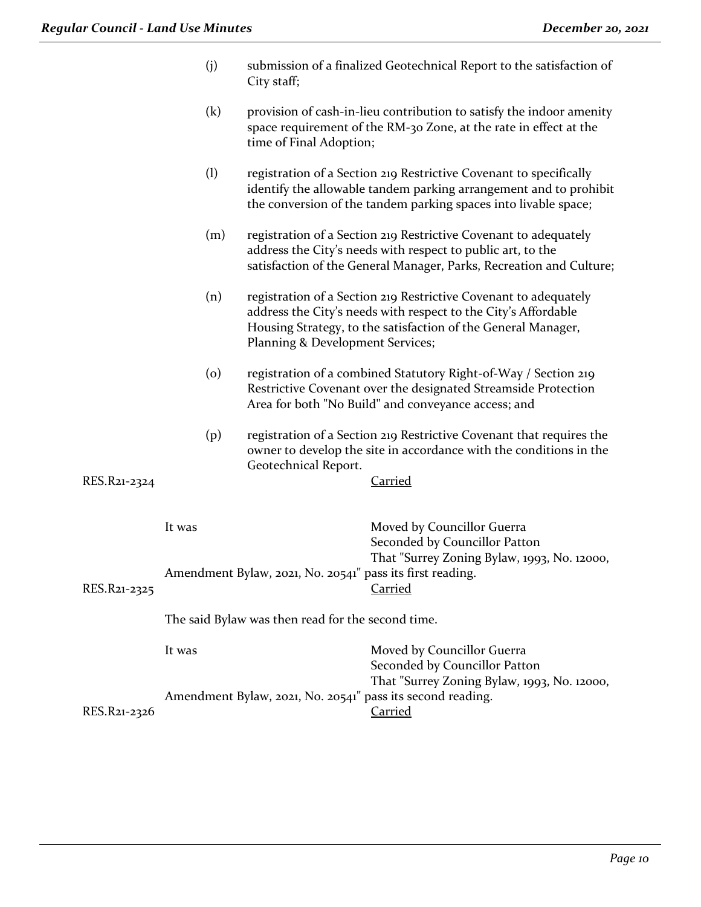| <b>Regular Council - Land Use Minutes</b> |         | December 20, 2021                                                                                                                                                                                                                       |
|-------------------------------------------|---------|-----------------------------------------------------------------------------------------------------------------------------------------------------------------------------------------------------------------------------------------|
|                                           | (j)     | submission of a finalized Geotechnical Report to the satisfaction of<br>City staff;                                                                                                                                                     |
|                                           | (k)     | provision of cash-in-lieu contribution to satisfy the indoor amenity<br>space requirement of the RM-30 Zone, at the rate in effect at the<br>time of Final Adoption;                                                                    |
|                                           | (1)     | registration of a Section 219 Restrictive Covenant to specifically<br>identify the allowable tandem parking arrangement and to prohibit<br>the conversion of the tandem parking spaces into livable space;                              |
|                                           | (m)     | registration of a Section 219 Restrictive Covenant to adequately<br>address the City's needs with respect to public art, to the<br>satisfaction of the General Manager, Parks, Recreation and Culture;                                  |
|                                           | (n)     | registration of a Section 219 Restrictive Covenant to adequately<br>address the City's needs with respect to the City's Affordable<br>Housing Strategy, to the satisfaction of the General Manager,<br>Planning & Development Services; |
|                                           | $\circ$ | registration of a combined Statutory Right-of-Way / Section 219<br>Restrictive Covenant over the designated Streamside Protection<br>Area for both "No Build" and conveyance access; and                                                |
|                                           | (p)     | registration of a Section 219 Restrictive Covenant that requires the<br>owner to develop the site in accordance with the conditions in the<br>Geotechnical Report.                                                                      |
| RES.R21-2324                              |         | <b>Carried</b>                                                                                                                                                                                                                          |
|                                           | It was  | Moved by Councillor Guerra<br>Seconded by Councillor Patton<br>That "Surrey Zoning Bylaw, 1993, No. 12000,                                                                                                                              |
|                                           |         | Amendment Bylaw, 2021, No. 20541" pass its first reading.                                                                                                                                                                               |

RES.R21-2325 Carried

The said Bylaw was then read for the second time.

|              | It was                                                     | Moved by Councillor Guerra                  |
|--------------|------------------------------------------------------------|---------------------------------------------|
|              |                                                            | Seconded by Councillor Patton               |
|              |                                                            | That "Surrey Zoning Bylaw, 1993, No. 12000, |
|              | Amendment Bylaw, 2021, No. 20541" pass its second reading. |                                             |
| RES.R21-2326 |                                                            | Carried                                     |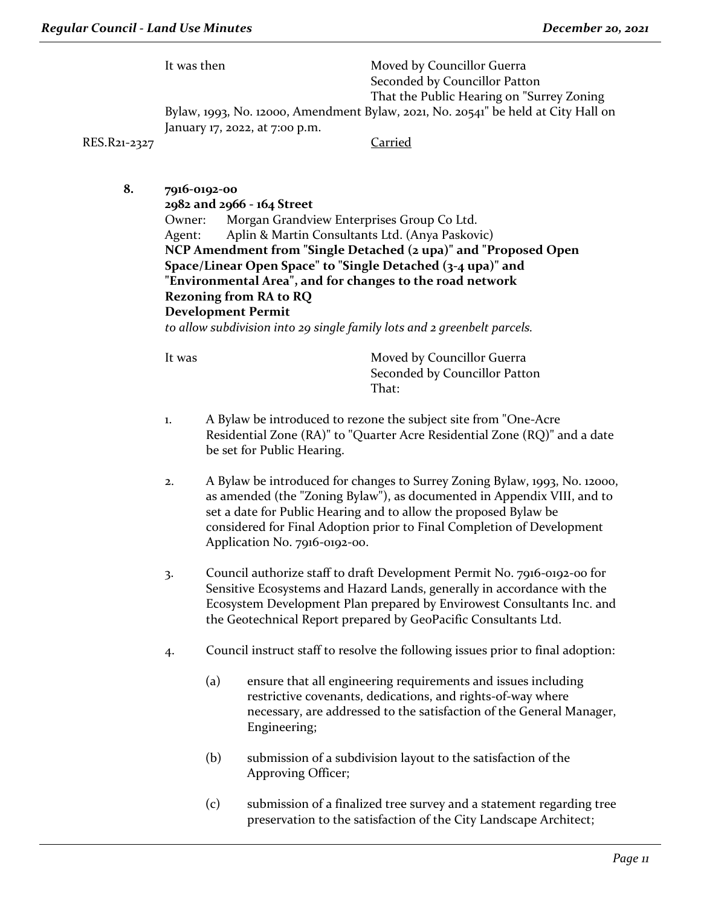It was then Moved by Councillor Guerra Seconded by Councillor Patton That the Public Hearing on "Surrey Zoning Bylaw, 1993, No. 12000, Amendment Bylaw, 2021, No. 20541" be held at City Hall on January 17, 2022, at 7:00 p.m.

RES.R21-2327 Carried

**8. 7916-0192-00**

**2982 and 2966 - 164 Street** Owner: Morgan Grandview Enterprises Group Co Ltd. Agent: Aplin & Martin Consultants Ltd. (Anya Paskovic) **NCP Amendment from "Single Detached (2 upa)" and "Proposed Open Space/Linear Open Space" to "Single Detached (3-4 upa)" and "Environmental Area", and for changes to the road network Rezoning from RA to RQ Development Permit**

*to allow subdivision into 29 single family lots and 2 greenbelt parcels.*

- 1. A Bylaw be introduced to rezone the subject site from "One-Acre Residential Zone (RA)" to "Quarter Acre Residential Zone (RQ)" and a date be set for Public Hearing.
- 2. A Bylaw be introduced for changes to Surrey Zoning Bylaw, 1993, No. 12000, as amended (the "Zoning Bylaw"), as documented in Appendix VIII, and to set a date for Public Hearing and to allow the proposed Bylaw be considered for Final Adoption prior to Final Completion of Development Application No. 7916-0192-00.
- 3. Council authorize staff to draft Development Permit No. 7916-0192-00 for Sensitive Ecosystems and Hazard Lands, generally in accordance with the Ecosystem Development Plan prepared by Envirowest Consultants Inc. and the Geotechnical Report prepared by GeoPacific Consultants Ltd.
- 4. Council instruct staff to resolve the following issues prior to final adoption:
	- (a) ensure that all engineering requirements and issues including restrictive covenants, dedications, and rights-of-way where necessary, are addressed to the satisfaction of the General Manager, Engineering;
	- (b) submission of a subdivision layout to the satisfaction of the Approving Officer;
	- (c) submission of a finalized tree survey and a statement regarding tree preservation to the satisfaction of the City Landscape Architect;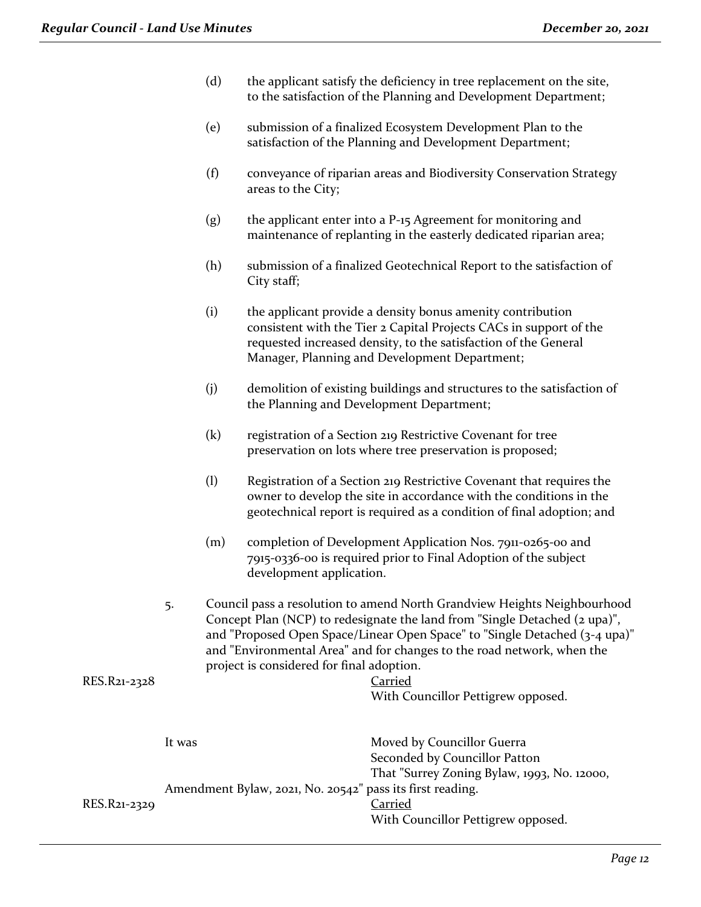- (d) the applicant satisfy the deficiency in tree replacement on the site, to the satisfaction of the Planning and Development Department;
- (e) submission of a finalized Ecosystem Development Plan to the satisfaction of the Planning and Development Department;
- (f) conveyance of riparian areas and Biodiversity Conservation Strategy areas to the City;
- (g) the applicant enter into a P-15 Agreement for monitoring and maintenance of replanting in the easterly dedicated riparian area;
- (h) submission of a finalized Geotechnical Report to the satisfaction of City staff;
- (i) the applicant provide a density bonus amenity contribution consistent with the Tier 2 Capital Projects CACs in support of the requested increased density, to the satisfaction of the General Manager, Planning and Development Department;
- (j) demolition of existing buildings and structures to the satisfaction of the Planning and Development Department;
- (k) registration of a Section 219 Restrictive Covenant for tree preservation on lots where tree preservation is proposed;
- (l) Registration of a Section 219 Restrictive Covenant that requires the owner to develop the site in accordance with the conditions in the geotechnical report is required as a condition of final adoption; and
- (m) completion of Development Application Nos. 7911-0265-00 and 7915-0336-00 is required prior to Final Adoption of the subject development application.
- 5. Council pass a resolution to amend North Grandview Heights Neighbourhood Concept Plan (NCP) to redesignate the land from "Single Detached (2 upa)", and "Proposed Open Space/Linear Open Space" to "Single Detached (3-4 upa)" and "Environmental Area" and for changes to the road network, when the project is considered for final adoption.

```
RES.R21-2328 Carried
```

```
With Councillor Pettigrew opposed.
```

| It was | Moved by Councillor Guerra<br>Seconded by Councillor Patton |
|--------|-------------------------------------------------------------|
|        | That "Surrey Zoning Bylaw, 1993, No. 12000,                 |
|        | Carried<br>With Councillor Pettigrew opposed.               |
|        | Amendment Bylaw, 2021, No. 20542" pass its first reading.   |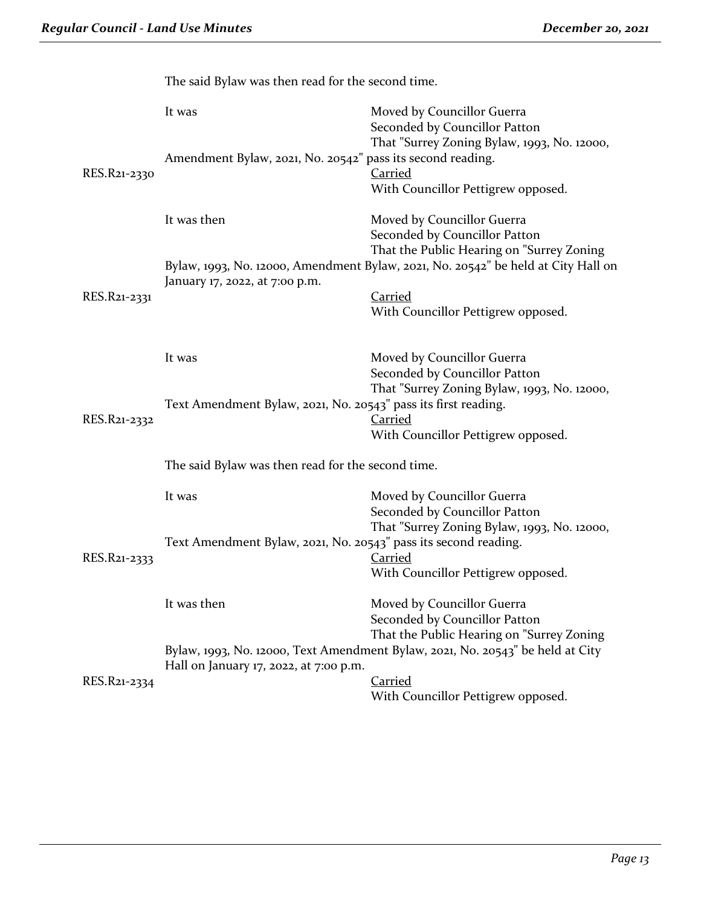|              | The said Dylaw was then read for the second thire.              |                                                                                                            |  |  |
|--------------|-----------------------------------------------------------------|------------------------------------------------------------------------------------------------------------|--|--|
|              | It was                                                          | Moved by Councillor Guerra<br>Seconded by Councillor Patton<br>That "Surrey Zoning Bylaw, 1993, No. 12000, |  |  |
| RES.R21-2330 | Amendment Bylaw, 2021, No. 20542" pass its second reading.      | Carried<br>With Councillor Pettigrew opposed.                                                              |  |  |
|              | It was then                                                     | Moved by Councillor Guerra<br>Seconded by Councillor Patton<br>That the Public Hearing on "Surrey Zoning   |  |  |
|              | January 17, 2022, at 7:00 p.m.                                  | Bylaw, 1993, No. 12000, Amendment Bylaw, 2021, No. 20542" be held at City Hall on                          |  |  |
| RES.R21-2331 |                                                                 | Carried<br>With Councillor Pettigrew opposed.                                                              |  |  |
|              | It was                                                          | Moved by Councillor Guerra<br>Seconded by Councillor Patton<br>That "Surrey Zoning Bylaw, 1993, No. 12000, |  |  |
| RES.R21-2332 | Text Amendment Bylaw, 2021, No. 20543" pass its first reading.  | <b>Carried</b><br>With Councillor Pettigrew opposed.                                                       |  |  |
|              | The said Bylaw was then read for the second time.               |                                                                                                            |  |  |
|              | It was                                                          | Moved by Councillor Guerra<br>Seconded by Councillor Patton                                                |  |  |
| RES.R21-2333 | Text Amendment Bylaw, 2021, No. 20543" pass its second reading. | That "Surrey Zoning Bylaw, 1993, No. 12000,<br>Carried<br>With Councillor Pettigrew opposed.               |  |  |
|              | It was then                                                     | Moved by Councillor Guerra<br>Seconded by Councillor Patton<br>That the Public Hearing on "Surrey Zoning   |  |  |
|              | Hall on January 17, 2022, at 7:00 p.m.                          | Bylaw, 1993, No. 12000, Text Amendment Bylaw, 2021, No. 20543" be held at City                             |  |  |
| RES.R21-2334 |                                                                 | <b>Carried</b><br>With Councillor Pettigrew opposed.                                                       |  |  |

The said Bylaw was then read for the second time.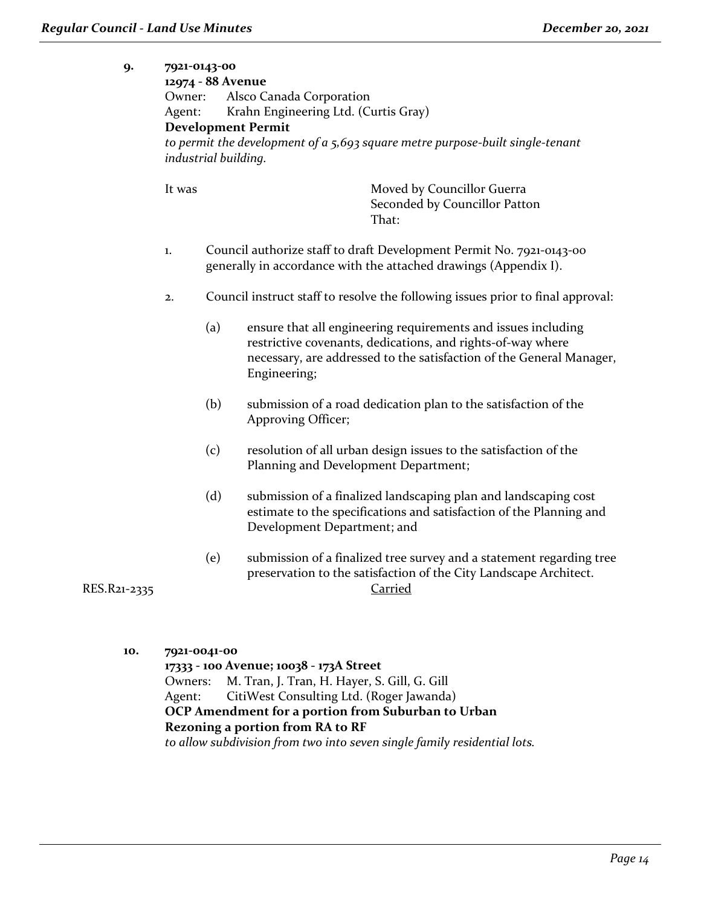| 9.           | Owner:<br>Agent:                  | 7921-0143-00<br>12974 - 88 Avenue<br>Alsco Canada Corporation<br>Krahn Engineering Ltd. (Curtis Gray)<br><b>Development Permit</b><br>to permit the development of a 5,693 square metre purpose-built single-tenant<br>industrial building. |                                                                                                                                                                                                                      |  |  |
|--------------|-----------------------------------|---------------------------------------------------------------------------------------------------------------------------------------------------------------------------------------------------------------------------------------------|----------------------------------------------------------------------------------------------------------------------------------------------------------------------------------------------------------------------|--|--|
|              | It was                            |                                                                                                                                                                                                                                             | Moved by Councillor Guerra<br>Seconded by Councillor Patton<br>That:                                                                                                                                                 |  |  |
|              | 1.                                |                                                                                                                                                                                                                                             | Council authorize staff to draft Development Permit No. 7921-0143-00<br>generally in accordance with the attached drawings (Appendix I).                                                                             |  |  |
|              | 2.                                |                                                                                                                                                                                                                                             | Council instruct staff to resolve the following issues prior to final approval:                                                                                                                                      |  |  |
|              |                                   | (a)                                                                                                                                                                                                                                         | ensure that all engineering requirements and issues including<br>restrictive covenants, dedications, and rights-of-way where<br>necessary, are addressed to the satisfaction of the General Manager,<br>Engineering; |  |  |
|              |                                   | (b)                                                                                                                                                                                                                                         | submission of a road dedication plan to the satisfaction of the<br>Approving Officer;                                                                                                                                |  |  |
|              |                                   | (c)                                                                                                                                                                                                                                         | resolution of all urban design issues to the satisfaction of the<br>Planning and Development Department;                                                                                                             |  |  |
|              |                                   | (d)                                                                                                                                                                                                                                         | submission of a finalized landscaping plan and landscaping cost<br>estimate to the specifications and satisfaction of the Planning and<br>Development Department; and                                                |  |  |
| RES.R21-2335 |                                   | (e)                                                                                                                                                                                                                                         | submission of a finalized tree survey and a statement regarding tree<br>preservation to the satisfaction of the City Landscape Architect.<br><b>Carried</b>                                                          |  |  |
|              |                                   |                                                                                                                                                                                                                                             |                                                                                                                                                                                                                      |  |  |
| 10.          | 7921-0041-00<br>Owners:<br>Agent: |                                                                                                                                                                                                                                             | 17333 - 100 Avenue; 10038 - 173A Street<br>M. Tran, J. Tran, H. Hayer, S. Gill, G. Gill<br>CitiWest Consulting Ltd. (Roger Jawanda)<br>OCP Amendment for a portion from Suburban to Urban                            |  |  |

# **Rezoning a portion from RA to RF**

*to allow subdivision from two into seven single family residential lots.*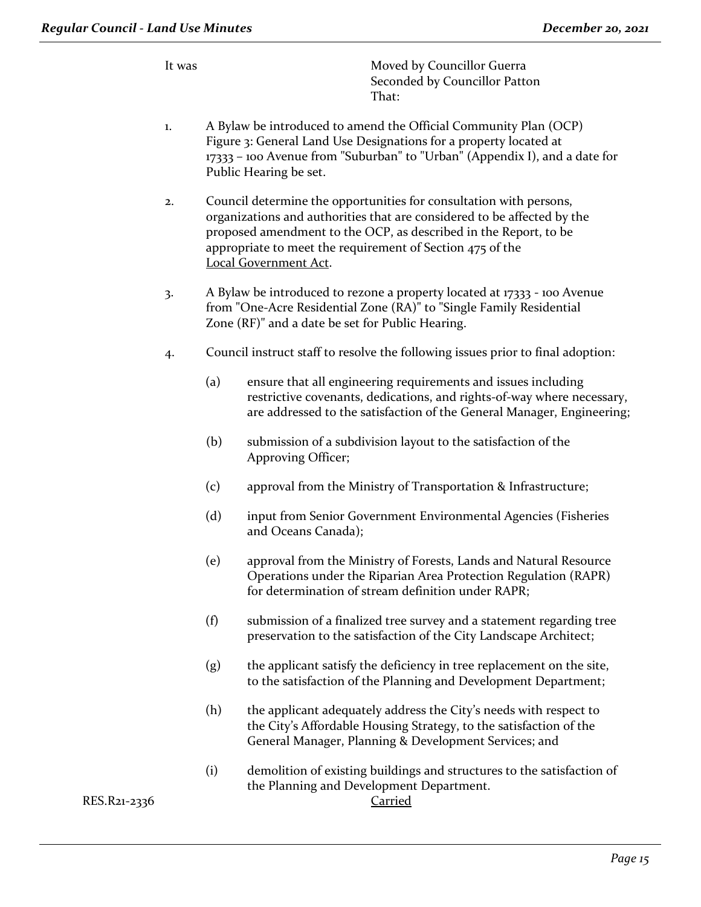It was Moved by Councillor Guerra Seconded by Councillor Patton That:

- 1. A Bylaw be introduced to amend the Official Community Plan (OCP) Figure 3: General Land Use Designations for a property located at 17333 – 100 Avenue from "Suburban" to "Urban" (Appendix I), and a date for Public Hearing be set.
- 2. Council determine the opportunities for consultation with persons, organizations and authorities that are considered to be affected by the proposed amendment to the OCP, as described in the Report, to be appropriate to meet the requirement of Section 475 of the Local Government Act.
- 3. A Bylaw be introduced to rezone a property located at 17333 100 Avenue from "One-Acre Residential Zone (RA)" to "Single Family Residential Zone (RF)" and a date be set for Public Hearing.
- 4. Council instruct staff to resolve the following issues prior to final adoption:
	- (a) ensure that all engineering requirements and issues including restrictive covenants, dedications, and rights-of-way where necessary, are addressed to the satisfaction of the General Manager, Engineering;
	- (b) submission of a subdivision layout to the satisfaction of the Approving Officer;
	- (c) approval from the Ministry of Transportation & Infrastructure;
	- (d) input from Senior Government Environmental Agencies (Fisheries and Oceans Canada);
	- (e) approval from the Ministry of Forests, Lands and Natural Resource Operations under the Riparian Area Protection Regulation (RAPR) for determination of stream definition under RAPR;
	- (f) submission of a finalized tree survey and a statement regarding tree preservation to the satisfaction of the City Landscape Architect;
	- (g) the applicant satisfy the deficiency in tree replacement on the site, to the satisfaction of the Planning and Development Department;
	- (h) the applicant adequately address the City's needs with respect to the City's Affordable Housing Strategy, to the satisfaction of the General Manager, Planning & Development Services; and
	- (i) demolition of existing buildings and structures to the satisfaction of the Planning and Development Department.

RES.R21-2336 Carried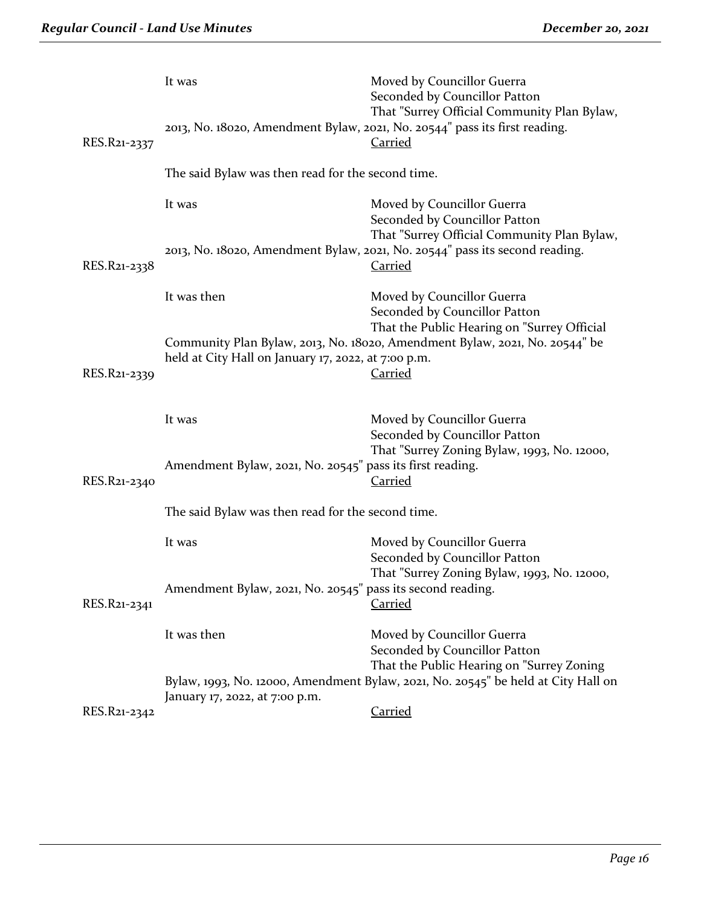| RES.R21-2337 | It was                                                     | Moved by Councillor Guerra<br>Seconded by Councillor Patton<br>That "Surrey Official Community Plan Bylaw,<br>2013, No. 18020, Amendment Bylaw, 2021, No. 20544" pass its first reading.<br><u>Carried</u> |  |
|--------------|------------------------------------------------------------|------------------------------------------------------------------------------------------------------------------------------------------------------------------------------------------------------------|--|
|              | The said Bylaw was then read for the second time.          |                                                                                                                                                                                                            |  |
|              | It was                                                     | Moved by Councillor Guerra<br>Seconded by Councillor Patton                                                                                                                                                |  |
| RES.R21-2338 |                                                            | That "Surrey Official Community Plan Bylaw,<br>2013, No. 18020, Amendment Bylaw, 2021, No. 20544" pass its second reading.<br><u>Carried</u>                                                               |  |
|              | It was then                                                | Moved by Councillor Guerra<br>Seconded by Councillor Patton                                                                                                                                                |  |
| RES.R21-2339 | held at City Hall on January 17, 2022, at 7:00 p.m.        | That the Public Hearing on "Surrey Official<br>Community Plan Bylaw, 2013, No. 18020, Amendment Bylaw, 2021, No. 20544" be<br><b>Carried</b>                                                               |  |
|              | It was                                                     | Moved by Councillor Guerra<br>Seconded by Councillor Patton                                                                                                                                                |  |
| RES.R21-2340 | Amendment Bylaw, 2021, No. 20545" pass its first reading.  | That "Surrey Zoning Bylaw, 1993, No. 12000,<br><u>Carried</u>                                                                                                                                              |  |
|              | The said Bylaw was then read for the second time.          |                                                                                                                                                                                                            |  |
|              | It was                                                     | Moved by Councillor Guerra<br>Seconded by Councillor Patton                                                                                                                                                |  |
| RES.R21-2341 | Amendment Bylaw, 2021, No. 20545" pass its second reading. | That "Surrey Zoning Bylaw, 1993, No. 12000,<br><b>Carried</b>                                                                                                                                              |  |
|              | It was then                                                | Moved by Councillor Guerra<br>Seconded by Councillor Patton                                                                                                                                                |  |
|              | January 17, 2022, at 7:00 p.m.                             | That the Public Hearing on "Surrey Zoning<br>Bylaw, 1993, No. 12000, Amendment Bylaw, 2021, No. 20545" be held at City Hall on                                                                             |  |
| RES.R21-2342 |                                                            | Carried                                                                                                                                                                                                    |  |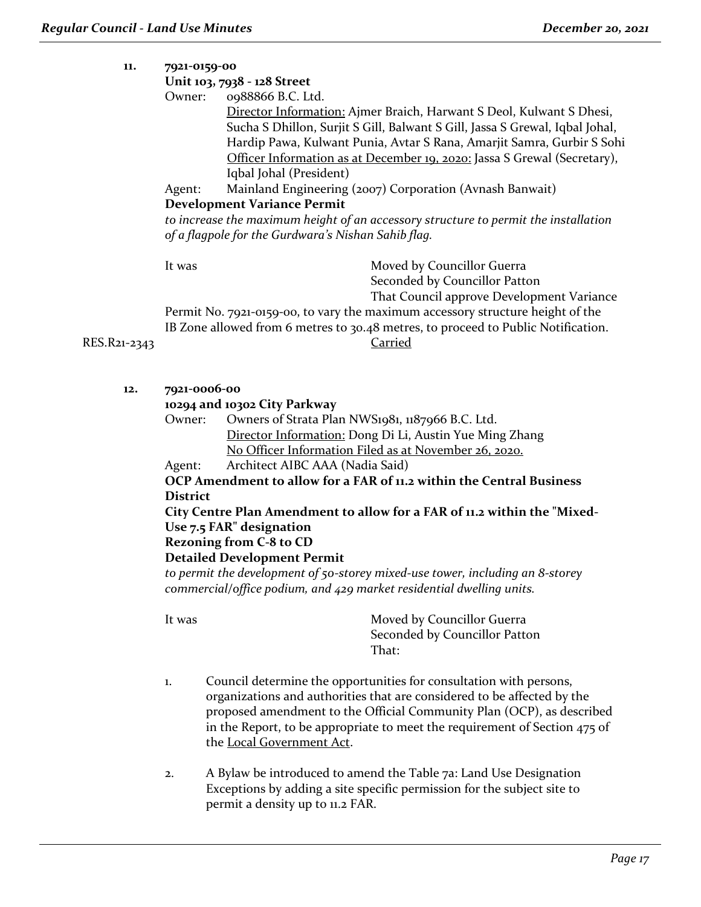| 11.          | 7921-0159-00                                                                                                                                          |                                                                                           |  |  |
|--------------|-------------------------------------------------------------------------------------------------------------------------------------------------------|-------------------------------------------------------------------------------------------|--|--|
|              |                                                                                                                                                       | Unit 103, 7938 - 128 Street                                                               |  |  |
|              | Owner:                                                                                                                                                | 0988866 B.C. Ltd.<br>Director Information: Ajmer Braich, Harwant S Deol, Kulwant S Dhesi, |  |  |
|              |                                                                                                                                                       | Sucha S Dhillon, Surjit S Gill, Balwant S Gill, Jassa S Grewal, Iqbal Johal,              |  |  |
|              |                                                                                                                                                       | Hardip Pawa, Kulwant Punia, Avtar S Rana, Amarjit Samra, Gurbir S Sohi                    |  |  |
|              |                                                                                                                                                       | Officer Information as at December 19, 2020: Jassa S Grewal (Secretary),                  |  |  |
|              |                                                                                                                                                       | Iqbal Johal (President)                                                                   |  |  |
|              | Agent:                                                                                                                                                | Mainland Engineering (2007) Corporation (Avnash Banwait)                                  |  |  |
|              |                                                                                                                                                       | <b>Development Variance Permit</b>                                                        |  |  |
|              |                                                                                                                                                       | to increase the maximum height of an accessory structure to permit the installation       |  |  |
|              |                                                                                                                                                       | of a flagpole for the Gurdwara's Nishan Sahib flag.                                       |  |  |
|              | It was                                                                                                                                                | Moved by Councillor Guerra                                                                |  |  |
|              |                                                                                                                                                       | Seconded by Councillor Patton                                                             |  |  |
|              |                                                                                                                                                       | That Council approve Development Variance                                                 |  |  |
|              |                                                                                                                                                       | Permit No. 7921-0159-00, to vary the maximum accessory structure height of the            |  |  |
|              |                                                                                                                                                       | IB Zone allowed from 6 metres to 30.48 metres, to proceed to Public Notification.         |  |  |
| RES.R21-2343 |                                                                                                                                                       | Carried                                                                                   |  |  |
|              |                                                                                                                                                       |                                                                                           |  |  |
| 12.          | 7921-0006-00                                                                                                                                          |                                                                                           |  |  |
|              | 10294 and 10302 City Parkway                                                                                                                          |                                                                                           |  |  |
|              | Owner:                                                                                                                                                | Owners of Strata Plan NWS1981, 1187966 B.C. Ltd.                                          |  |  |
|              |                                                                                                                                                       | Director Information: Dong Di Li, Austin Yue Ming Zhang                                   |  |  |
|              |                                                                                                                                                       | No Officer Information Filed as at November 26, 2020.                                     |  |  |
|              | Agent:                                                                                                                                                | Architect AIBC AAA (Nadia Said)                                                           |  |  |
|              |                                                                                                                                                       | OCP Amendment to allow for a FAR of 11,2 within the Central Business                      |  |  |
|              | <b>District</b>                                                                                                                                       |                                                                                           |  |  |
|              |                                                                                                                                                       | City Centre Plan Amendment to allow for a FAR of 11.2 within the "Mixed-                  |  |  |
|              |                                                                                                                                                       | Use 7.5 FAR" designation                                                                  |  |  |
|              |                                                                                                                                                       | <b>Rezoning from C-8 to CD</b>                                                            |  |  |
|              |                                                                                                                                                       | <b>Detailed Development Permit</b>                                                        |  |  |
|              | to permit the development of 50-storey mixed-use tower, including an 8-storey<br>commercial/office podium, and 429 market residential dwelling units. |                                                                                           |  |  |
|              |                                                                                                                                                       |                                                                                           |  |  |

- 1. Council determine the opportunities for consultation with persons, organizations and authorities that are considered to be affected by the proposed amendment to the Official Community Plan (OCP), as described in the Report, to be appropriate to meet the requirement of Section 475 of the Local Government Act.
- 2. A Bylaw be introduced to amend the Table 7a: Land Use Designation Exceptions by adding a site specific permission for the subject site to permit a density up to 11.2 FAR.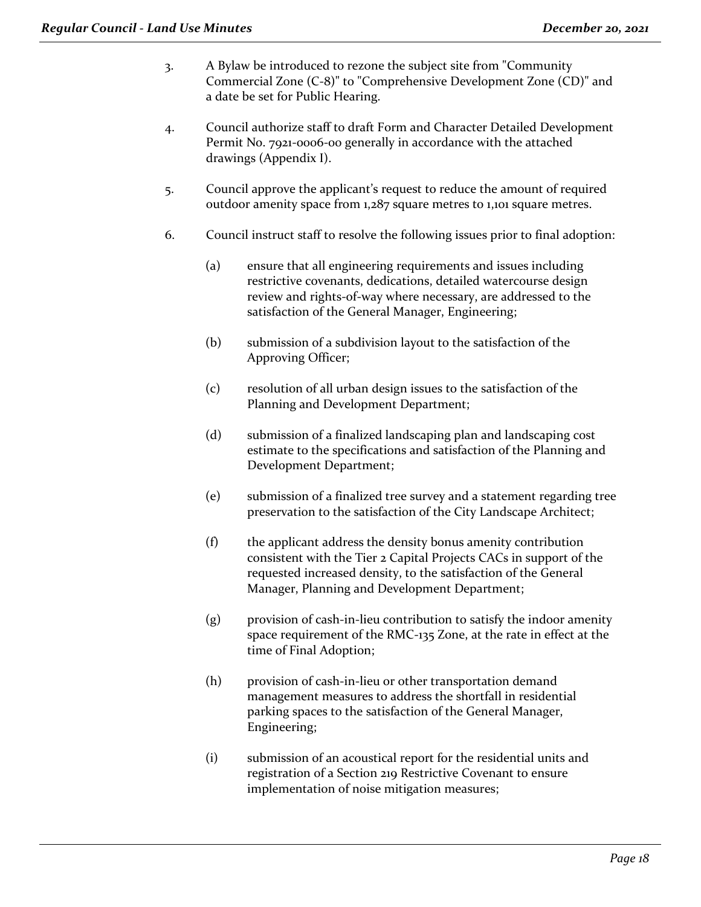- 3. A Bylaw be introduced to rezone the subject site from "Community Commercial Zone (C-8)" to "Comprehensive Development Zone (CD)" and a date be set for Public Hearing.
- 4. Council authorize staff to draft Form and Character Detailed Development Permit No. 7921-0006-00 generally in accordance with the attached drawings (Appendix I).
- 5. Council approve the applicant's request to reduce the amount of required outdoor amenity space from 1,287 square metres to 1,101 square metres.
- 6. Council instruct staff to resolve the following issues prior to final adoption:
	- (a) ensure that all engineering requirements and issues including restrictive covenants, dedications, detailed watercourse design review and rights-of-way where necessary, are addressed to the satisfaction of the General Manager, Engineering;
	- (b) submission of a subdivision layout to the satisfaction of the Approving Officer;
	- (c) resolution of all urban design issues to the satisfaction of the Planning and Development Department;
	- (d) submission of a finalized landscaping plan and landscaping cost estimate to the specifications and satisfaction of the Planning and Development Department;
	- (e) submission of a finalized tree survey and a statement regarding tree preservation to the satisfaction of the City Landscape Architect;
	- (f) the applicant address the density bonus amenity contribution consistent with the Tier 2 Capital Projects CACs in support of the requested increased density, to the satisfaction of the General Manager, Planning and Development Department;
	- (g) provision of cash-in-lieu contribution to satisfy the indoor amenity space requirement of the RMC-135 Zone, at the rate in effect at the time of Final Adoption;
	- (h) provision of cash-in-lieu or other transportation demand management measures to address the shortfall in residential parking spaces to the satisfaction of the General Manager, Engineering;
	- (i) submission of an acoustical report for the residential units and registration of a Section 219 Restrictive Covenant to ensure implementation of noise mitigation measures;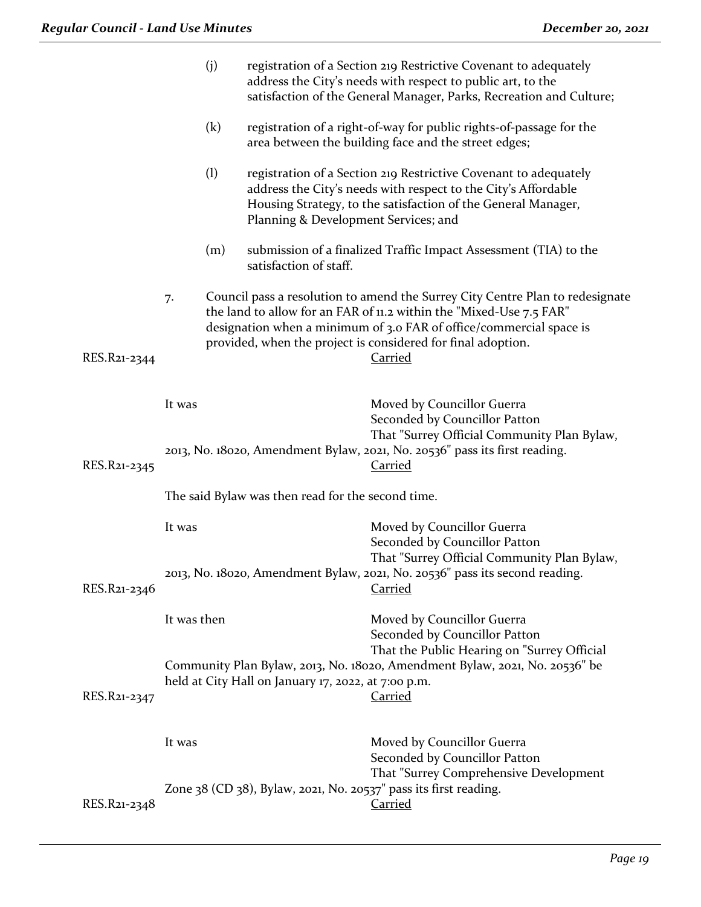|              |             | (j) |                                                     | registration of a Section 219 Restrictive Covenant to adequately<br>address the City's needs with respect to public art, to the<br>satisfaction of the General Manager, Parks, Recreation and Culture;                                                                                                        |
|--------------|-------------|-----|-----------------------------------------------------|---------------------------------------------------------------------------------------------------------------------------------------------------------------------------------------------------------------------------------------------------------------------------------------------------------------|
|              |             | (k) |                                                     | registration of a right-of-way for public rights-of-passage for the<br>area between the building face and the street edges;                                                                                                                                                                                   |
|              |             | (1) | Planning & Development Services; and                | registration of a Section 219 Restrictive Covenant to adequately<br>address the City's needs with respect to the City's Affordable<br>Housing Strategy, to the satisfaction of the General Manager,                                                                                                           |
|              |             | (m) | satisfaction of staff.                              | submission of a finalized Traffic Impact Assessment (TIA) to the                                                                                                                                                                                                                                              |
| RES.R21-2344 | 7.          |     |                                                     | Council pass a resolution to amend the Surrey City Centre Plan to redesignate<br>the land to allow for an FAR of 11.2 within the "Mixed-Use 7.5 FAR"<br>designation when a minimum of 3.0 FAR of office/commercial space is<br>provided, when the project is considered for final adoption.<br><b>Carried</b> |
|              | It was      |     |                                                     | Moved by Councillor Guerra<br>Seconded by Councillor Patton<br>That "Surrey Official Community Plan Bylaw,                                                                                                                                                                                                    |
| RES.R21-2345 |             |     |                                                     | 2013, No. 18020, Amendment Bylaw, 2021, No. 20536" pass its first reading.<br><b>Carried</b>                                                                                                                                                                                                                  |
|              |             |     | The said Bylaw was then read for the second time.   |                                                                                                                                                                                                                                                                                                               |
|              | It was      |     |                                                     | Moved by Councillor Guerra<br>Seconded by Councillor Patton                                                                                                                                                                                                                                                   |
| RES.R21-2346 |             |     |                                                     | That "Surrey Official Community Plan Bylaw,<br>2013, No. 18020, Amendment Bylaw, 2021, No. 20536" pass its second reading.<br><b>Carried</b>                                                                                                                                                                  |
|              | It was then |     |                                                     | Moved by Councillor Guerra<br>Seconded by Councillor Patton                                                                                                                                                                                                                                                   |
| RES.R21-2347 |             |     | held at City Hall on January 17, 2022, at 7:00 p.m. | That the Public Hearing on "Surrey Official<br>Community Plan Bylaw, 2013, No. 18020, Amendment Bylaw, 2021, No. 20536" be<br>Carried                                                                                                                                                                         |
|              | It was      |     |                                                     | Moved by Councillor Guerra<br>Seconded by Councillor Patton                                                                                                                                                                                                                                                   |
| RES.R21-2348 |             |     |                                                     | That "Surrey Comprehensive Development<br>Zone 38 (CD 38), Bylaw, 2021, No. 20537" pass its first reading.<br><b>Carried</b>                                                                                                                                                                                  |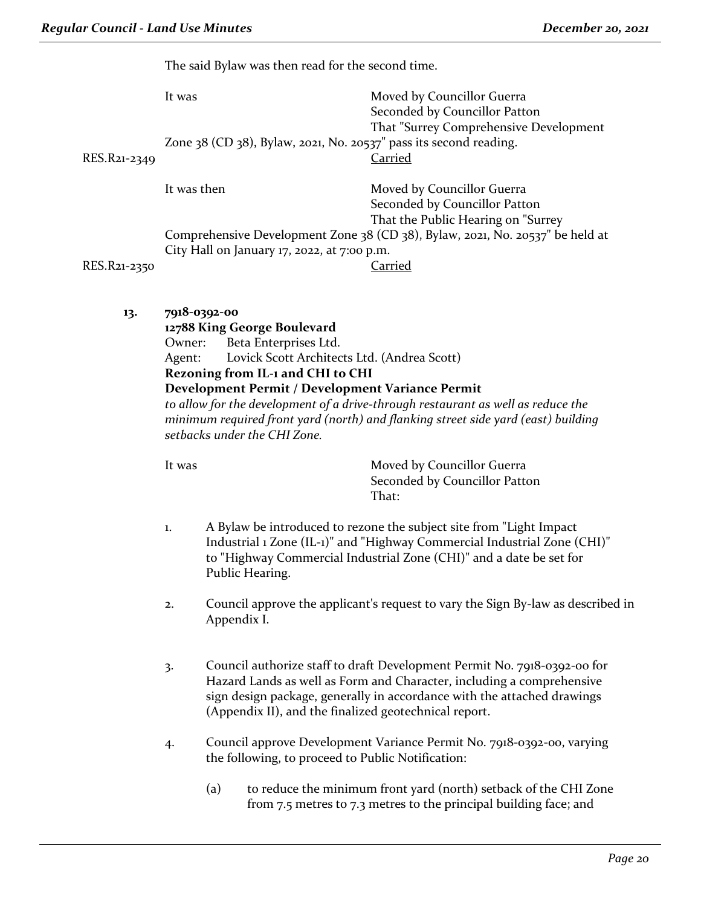The said Bylaw was then read for the second time.

|              | It was           | Zone $38$ (CD $38$ ), Bylaw, 2021, No. 20537" pass its second reading.                                                                                                                                                                       | Moved by Councillor Guerra<br>Seconded by Councillor Patton<br>That "Surrey Comprehensive Development                                                                                                                        |
|--------------|------------------|----------------------------------------------------------------------------------------------------------------------------------------------------------------------------------------------------------------------------------------------|------------------------------------------------------------------------------------------------------------------------------------------------------------------------------------------------------------------------------|
| RES.R21-2349 |                  |                                                                                                                                                                                                                                              | Carried                                                                                                                                                                                                                      |
|              | It was then      |                                                                                                                                                                                                                                              | Moved by Councillor Guerra<br>Seconded by Councillor Patton<br>That the Public Hearing on "Surrey                                                                                                                            |
| RES.R21-2350 |                  | City Hall on January 17, 2022, at 7:00 p.m.                                                                                                                                                                                                  | Comprehensive Development Zone 38 (CD 38), Bylaw, 2021, No. 20537" be held at<br><b>Carried</b>                                                                                                                              |
| 13.          | Owner:<br>Agent: | 7918-0392-00<br>12788 King George Boulevard<br>Beta Enterprises Ltd.<br>Lovick Scott Architects Ltd. (Andrea Scott)<br>Rezoning from IL-1 and CHI to CHI<br>Development Permit / Development Variance Permit<br>setbacks under the CHI Zone. | to allow for the development of a drive-through restaurant as well as reduce the<br>minimum required front yard (north) and flanking street side yard (east) building                                                        |
|              | It was           |                                                                                                                                                                                                                                              | Moved by Councillor Guerra<br>Seconded by Councillor Patton<br>That:                                                                                                                                                         |
|              | 1.               | Public Hearing.                                                                                                                                                                                                                              | A Bylaw be introduced to rezone the subject site from "Light Impact"<br>Industrial 1 Zone (IL-1)" and "Highway Commercial Industrial Zone (CHI)"<br>to "Highway Commercial Industrial Zone (CHI)" and a date be set for      |
|              | 2.               | Appendix I.                                                                                                                                                                                                                                  | Council approve the applicant's request to vary the Sign By-law as described in                                                                                                                                              |
|              | 3.               | (Appendix II), and the finalized geotechnical report.                                                                                                                                                                                        | Council authorize staff to draft Development Permit No. 7918-0392-00 for<br>Hazard Lands as well as Form and Character, including a comprehensive<br>sign design package, generally in accordance with the attached drawings |
|              | 4.               | the following, to proceed to Public Notification:                                                                                                                                                                                            | Council approve Development Variance Permit No. 7918-0392-00, varying                                                                                                                                                        |
|              |                  |                                                                                                                                                                                                                                              |                                                                                                                                                                                                                              |

(a) to reduce the minimum front yard (north) setback of the CHI Zone from 7.5 metres to 7.3 metres to the principal building face; and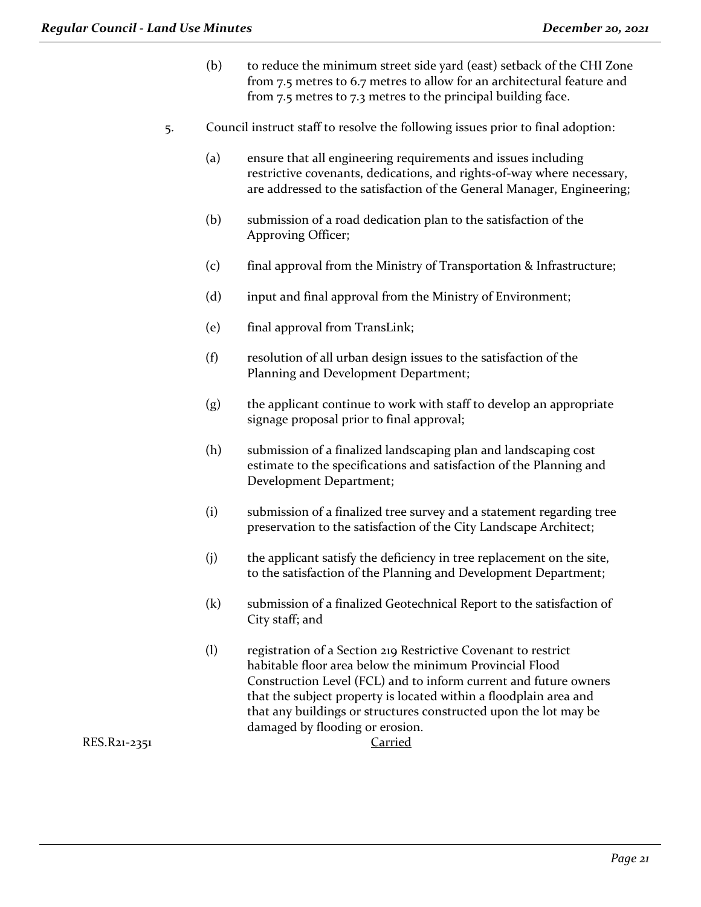- (b) to reduce the minimum street side yard (east) setback of the CHI Zone from 7.5 metres to 6.7 metres to allow for an architectural feature and from 7.5 metres to 7.3 metres to the principal building face.
- 5. Council instruct staff to resolve the following issues prior to final adoption:
	- (a) ensure that all engineering requirements and issues including restrictive covenants, dedications, and rights-of-way where necessary, are addressed to the satisfaction of the General Manager, Engineering;
	- (b) submission of a road dedication plan to the satisfaction of the Approving Officer;
	- (c) final approval from the Ministry of Transportation & Infrastructure;
	- (d) input and final approval from the Ministry of Environment;
	- (e) final approval from TransLink;
	- (f) resolution of all urban design issues to the satisfaction of the Planning and Development Department;
	- (g) the applicant continue to work with staff to develop an appropriate signage proposal prior to final approval;
	- (h) submission of a finalized landscaping plan and landscaping cost estimate to the specifications and satisfaction of the Planning and Development Department;
	- (i) submission of a finalized tree survey and a statement regarding tree preservation to the satisfaction of the City Landscape Architect;
	- (j) the applicant satisfy the deficiency in tree replacement on the site, to the satisfaction of the Planning and Development Department;
	- (k) submission of a finalized Geotechnical Report to the satisfaction of City staff; and
	- (l) registration of a Section 219 Restrictive Covenant to restrict habitable floor area below the minimum Provincial Flood Construction Level (FCL) and to inform current and future owners that the subject property is located within a floodplain area and that any buildings or structures constructed upon the lot may be damaged by flooding or erosion.

RES.R21-2351 Carried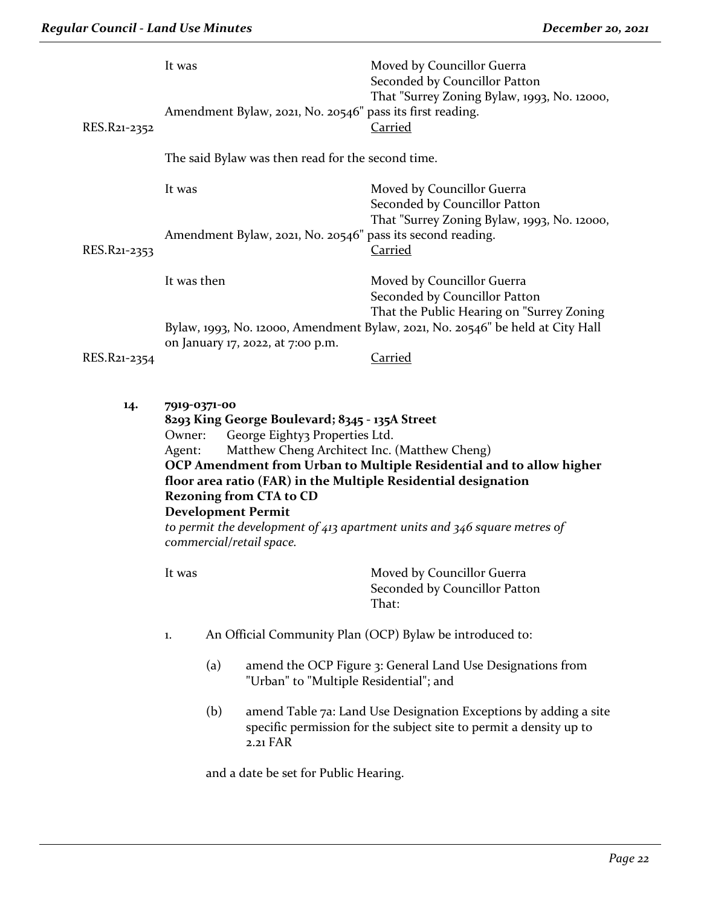| RES.R21-2352 | It was                                                        | Amendment Bylaw, 2021, No. 20546" pass its first reading.                                                                                                                                      | Moved by Councillor Guerra<br>Seconded by Councillor Patton<br>That "Surrey Zoning Bylaw, 1993, No. 12000,<br><b>Carried</b>                                                                                        |
|--------------|---------------------------------------------------------------|------------------------------------------------------------------------------------------------------------------------------------------------------------------------------------------------|---------------------------------------------------------------------------------------------------------------------------------------------------------------------------------------------------------------------|
|              |                                                               | The said Bylaw was then read for the second time.                                                                                                                                              |                                                                                                                                                                                                                     |
| RES.R21-2353 | It was                                                        |                                                                                                                                                                                                | Moved by Councillor Guerra<br>Seconded by Councillor Patton<br>That "Surrey Zoning Bylaw, 1993, No. 12000,<br>Amendment Bylaw, 2021, No. 20546" pass its second reading.<br><b>Carried</b>                          |
|              | It was then                                                   |                                                                                                                                                                                                | Moved by Councillor Guerra<br>Seconded by Councillor Patton<br>That the Public Hearing on "Surrey Zoning                                                                                                            |
|              |                                                               | on January 17, 2022, at 7:00 p.m.                                                                                                                                                              | Bylaw, 1993, No. 12000, Amendment Bylaw, 2021, No. 20546" be held at City Hall                                                                                                                                      |
| RES.R21-2354 |                                                               |                                                                                                                                                                                                | Carried                                                                                                                                                                                                             |
| 14.          | 7919-0371-00<br>Owner:<br>Agent:<br><b>Development Permit</b> | 8293 King George Boulevard; 8345 - 135A Street<br>George Eighty3 Properties Ltd.<br>Matthew Cheng Architect Inc. (Matthew Cheng)<br><b>Rezoning from CTA to CD</b><br>commercial/retail space. | OCP Amendment from Urban to Multiple Residential and to allow higher<br>floor area ratio (FAR) in the Multiple Residential designation<br>to permit the development of 413 apartment units and 346 square metres of |
|              | It was                                                        |                                                                                                                                                                                                | Moved by Councillor Guerra<br>Seconded by Councillor Patton<br>That:                                                                                                                                                |
|              | 1.                                                            |                                                                                                                                                                                                | An Official Community Plan (OCP) Bylaw be introduced to:                                                                                                                                                            |
|              | (a)                                                           | "Urban" to "Multiple Residential"; and                                                                                                                                                         | amend the OCP Figure 3: General Land Use Designations from                                                                                                                                                          |
|              | (b)                                                           | $2.21$ FAR                                                                                                                                                                                     | amend Table 7a: Land Use Designation Exceptions by adding a site<br>specific permission for the subject site to permit a density up to                                                                              |
|              |                                                               | and a date be set for Public Hearing.                                                                                                                                                          |                                                                                                                                                                                                                     |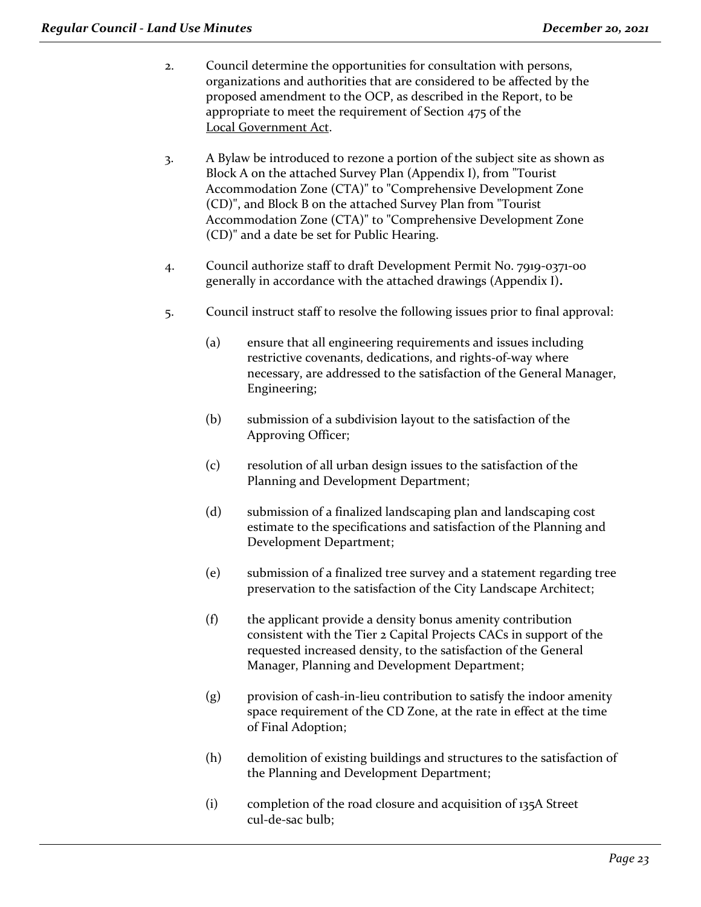- 2. Council determine the opportunities for consultation with persons, organizations and authorities that are considered to be affected by the proposed amendment to the OCP, as described in the Report, to be appropriate to meet the requirement of Section 475 of the Local Government Act.
- 3. A Bylaw be introduced to rezone a portion of the subject site as shown as Block A on the attached Survey Plan (Appendix I), from "Tourist Accommodation Zone (CTA)" to "Comprehensive Development Zone (CD)", and Block B on the attached Survey Plan from "Tourist Accommodation Zone (CTA)" to "Comprehensive Development Zone (CD)" and a date be set for Public Hearing.
- 4. Council authorize staff to draft Development Permit No. 7919-0371-00 generally in accordance with the attached drawings (Appendix I)**.**
- 5. Council instruct staff to resolve the following issues prior to final approval:
	- (a) ensure that all engineering requirements and issues including restrictive covenants, dedications, and rights-of-way where necessary, are addressed to the satisfaction of the General Manager, Engineering;
	- (b) submission of a subdivision layout to the satisfaction of the Approving Officer;
	- (c) resolution of all urban design issues to the satisfaction of the Planning and Development Department;
	- (d) submission of a finalized landscaping plan and landscaping cost estimate to the specifications and satisfaction of the Planning and Development Department;
	- (e) submission of a finalized tree survey and a statement regarding tree preservation to the satisfaction of the City Landscape Architect;
	- (f) the applicant provide a density bonus amenity contribution consistent with the Tier 2 Capital Projects CACs in support of the requested increased density, to the satisfaction of the General Manager, Planning and Development Department;
	- (g) provision of cash-in-lieu contribution to satisfy the indoor amenity space requirement of the CD Zone, at the rate in effect at the time of Final Adoption;
	- (h) demolition of existing buildings and structures to the satisfaction of the Planning and Development Department;
	- (i) completion of the road closure and acquisition of 135A Street cul-de-sac bulb;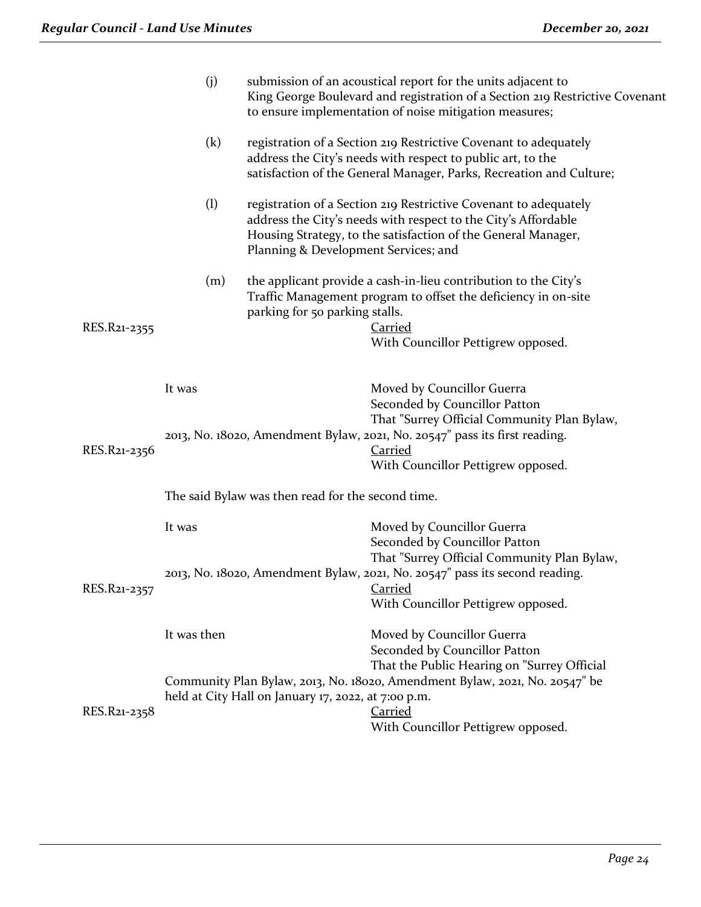|              | (j)         |                                                     | submission of an acoustical report for the units adjacent to<br>King George Boulevard and registration of a Section 219 Restrictive Covenant<br>to ensure implementation of noise mitigation measures; |
|--------------|-------------|-----------------------------------------------------|--------------------------------------------------------------------------------------------------------------------------------------------------------------------------------------------------------|
|              | (k)         |                                                     | registration of a Section 219 Restrictive Covenant to adequately<br>address the City's needs with respect to public art, to the<br>satisfaction of the General Manager, Parks, Recreation and Culture; |
|              | (1)         | Planning & Development Services; and                | registration of a Section 219 Restrictive Covenant to adequately<br>address the City's needs with respect to the City's Affordable<br>Housing Strategy, to the satisfaction of the General Manager,    |
| RES.R21-2355 | (m)         | parking for 50 parking stalls.                      | the applicant provide a cash-in-lieu contribution to the City's<br>Traffic Management program to offset the deficiency in on-site<br><b>Carried</b>                                                    |
|              |             |                                                     | With Councillor Pettigrew opposed.                                                                                                                                                                     |
|              | It was      |                                                     | Moved by Councillor Guerra<br>Seconded by Councillor Patton                                                                                                                                            |
| RES.R21-2356 |             |                                                     | That "Surrey Official Community Plan Bylaw,<br>2013, No. 18020, Amendment Bylaw, 2021, No. 20547" pass its first reading.<br>Carried<br>With Councillor Pettigrew opposed.                             |
|              |             | The said Bylaw was then read for the second time.   |                                                                                                                                                                                                        |
|              | It was      |                                                     | Moved by Councillor Guerra<br>Seconded by Councillor Patton<br>That "Surrey Official Community Plan Bylaw,                                                                                             |
| RES.R21-2357 |             |                                                     | 2013, No. 18020, Amendment Bylaw, 2021, No. 20547" pass its second reading.<br><b>Carried</b><br>With Councillor Pettigrew opposed.                                                                    |
|              | It was then |                                                     | Moved by Councillor Guerra<br>Seconded by Councillor Patton                                                                                                                                            |
| RES.R21-2358 |             | held at City Hall on January 17, 2022, at 7:00 p.m. | That the Public Hearing on "Surrey Official<br>Community Plan Bylaw, 2013, No. 18020, Amendment Bylaw, 2021, No. 20547" be<br>Carried                                                                  |
|              |             |                                                     | With Councillor Pettigrew opposed.                                                                                                                                                                     |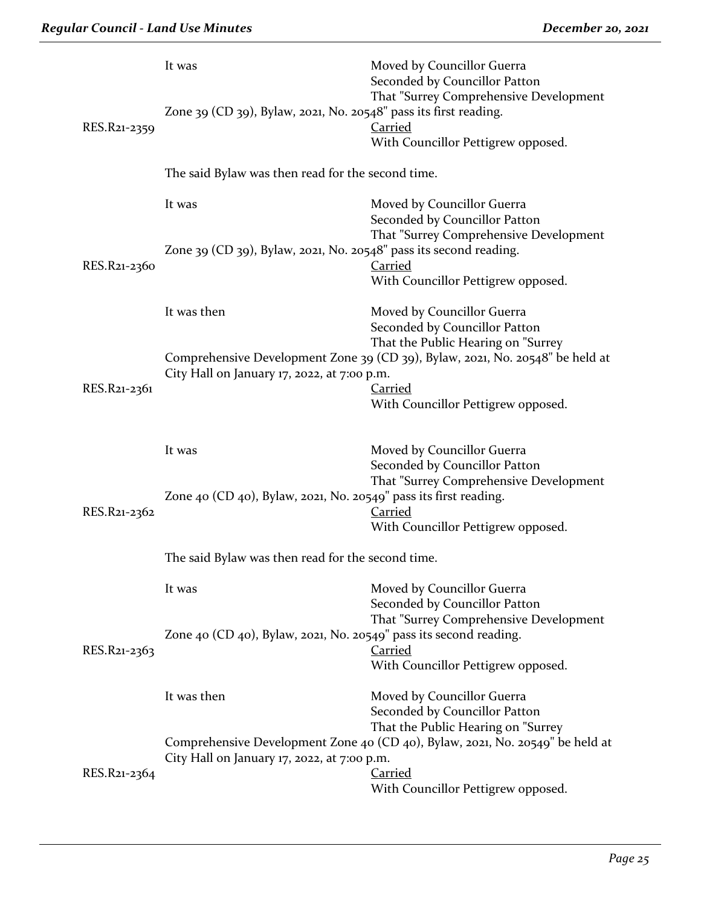|                                                                               | It was                                                                             | Moved by Councillor Guerra<br>Seconded by Councillor Patton                   |  |
|-------------------------------------------------------------------------------|------------------------------------------------------------------------------------|-------------------------------------------------------------------------------|--|
| RES.R21-2359                                                                  | Zone 39 (CD 39), Bylaw, 2021, No. 20548" pass its first reading.                   | That "Surrey Comprehensive Development<br>Carried                             |  |
|                                                                               |                                                                                    | With Councillor Pettigrew opposed.                                            |  |
|                                                                               | The said Bylaw was then read for the second time.                                  |                                                                               |  |
|                                                                               | It was                                                                             | Moved by Councillor Guerra<br>Seconded by Councillor Patton                   |  |
|                                                                               | Zone 39 (CD 39), Bylaw, 2021, No. 20548" pass its second reading.                  | That "Surrey Comprehensive Development                                        |  |
| RES.R21-2360                                                                  |                                                                                    | Carried                                                                       |  |
|                                                                               |                                                                                    | With Councillor Pettigrew opposed.                                            |  |
|                                                                               | It was then                                                                        | Moved by Councillor Guerra                                                    |  |
|                                                                               |                                                                                    | Seconded by Councillor Patton<br>That the Public Hearing on "Surrey           |  |
|                                                                               |                                                                                    | Comprehensive Development Zone 39 (CD 39), Bylaw, 2021, No. 20548" be held at |  |
| RES.R21-2361                                                                  | City Hall on January 17, 2022, at 7:00 p.m.                                        | <b>Carried</b>                                                                |  |
|                                                                               |                                                                                    | With Councillor Pettigrew opposed.                                            |  |
|                                                                               |                                                                                    |                                                                               |  |
|                                                                               | It was                                                                             | Moved by Councillor Guerra<br>Seconded by Councillor Patton                   |  |
|                                                                               |                                                                                    | That "Surrey Comprehensive Development                                        |  |
| RES.R21-2362                                                                  | Zone 40 (CD 40), Bylaw, 2021, No. 20549" pass its first reading.<br><b>Carried</b> |                                                                               |  |
|                                                                               |                                                                                    | With Councillor Pettigrew opposed.                                            |  |
|                                                                               | The said Bylaw was then read for the second time.                                  |                                                                               |  |
|                                                                               | It was                                                                             | Moved by Councillor Guerra                                                    |  |
|                                                                               |                                                                                    | Seconded by Councillor Patton<br>That "Surrey Comprehensive Development       |  |
|                                                                               | Zone 40 (CD 40), Bylaw, 2021, No. 20549" pass its second reading.                  |                                                                               |  |
| RES.R21-2363                                                                  |                                                                                    | Carried                                                                       |  |
|                                                                               |                                                                                    | With Councillor Pettigrew opposed.                                            |  |
|                                                                               | It was then                                                                        | Moved by Councillor Guerra                                                    |  |
|                                                                               |                                                                                    | Seconded by Councillor Patton<br>That the Public Hearing on "Surrey           |  |
| Comprehensive Development Zone 40 (CD 40), Bylaw, 2021, No. 20549" be held at |                                                                                    |                                                                               |  |
|                                                                               | City Hall on January 17, 2022, at 7:00 p.m.                                        | <b>Carried</b>                                                                |  |
| RES.R21-2364                                                                  |                                                                                    | With Councillor Pettigrew opposed.                                            |  |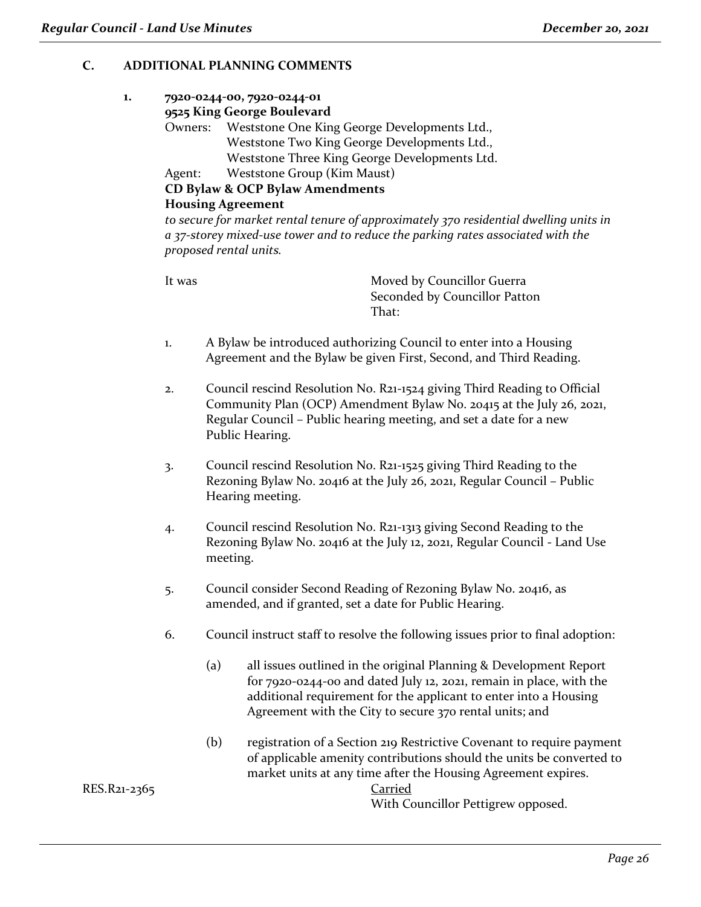# **C. ADDITIONAL PLANNING COMMENTS**

# **1. 7920-0244-00, 7920-0244-01**

#### **9525 King George Boulevard**

Owners: Weststone One King George Developments Ltd., Weststone Two King George Developments Ltd., Weststone Three King George Developments Ltd.

Agent: Weststone Group (Kim Maust)

**CD Bylaw & OCP Bylaw Amendments**

#### **Housing Agreement**

*to secure for market rental tenure of approximately 370 residential dwelling units in a 37-storey mixed-use tower and to reduce the parking rates associated with the proposed rental units.*

It was **Moved by Councillor Guerra** Seconded by Councillor Patton That:

- 1. A Bylaw be introduced authorizing Council to enter into a Housing Agreement and the Bylaw be given First, Second, and Third Reading.
- 2. Council rescind Resolution No. R21-1524 giving Third Reading to Official Community Plan (OCP) Amendment Bylaw No. 20415 at the July 26, 2021, Regular Council – Public hearing meeting, and set a date for a new Public Hearing.
- 3. Council rescind Resolution No. R21-1525 giving Third Reading to the Rezoning Bylaw No. 20416 at the July 26, 2021, Regular Council – Public Hearing meeting.
- 4. Council rescind Resolution No. R21-1313 giving Second Reading to the Rezoning Bylaw No. 20416 at the July 12, 2021, Regular Council - Land Use meeting.
- 5. Council consider Second Reading of Rezoning Bylaw No. 20416, as amended, and if granted, set a date for Public Hearing.
- 6. Council instruct staff to resolve the following issues prior to final adoption:
	- (a) all issues outlined in the original Planning & Development Report for 7920-0244-00 and dated July 12, 2021, remain in place, with the additional requirement for the applicant to enter into a Housing Agreement with the City to secure 370 rental units; and
	- (b) registration of a Section 219 Restrictive Covenant to require payment of applicable amenity contributions should the units be converted to market units at any time after the Housing Agreement expires.

With Councillor Pettigrew opposed.

RES.R21-2365 Carried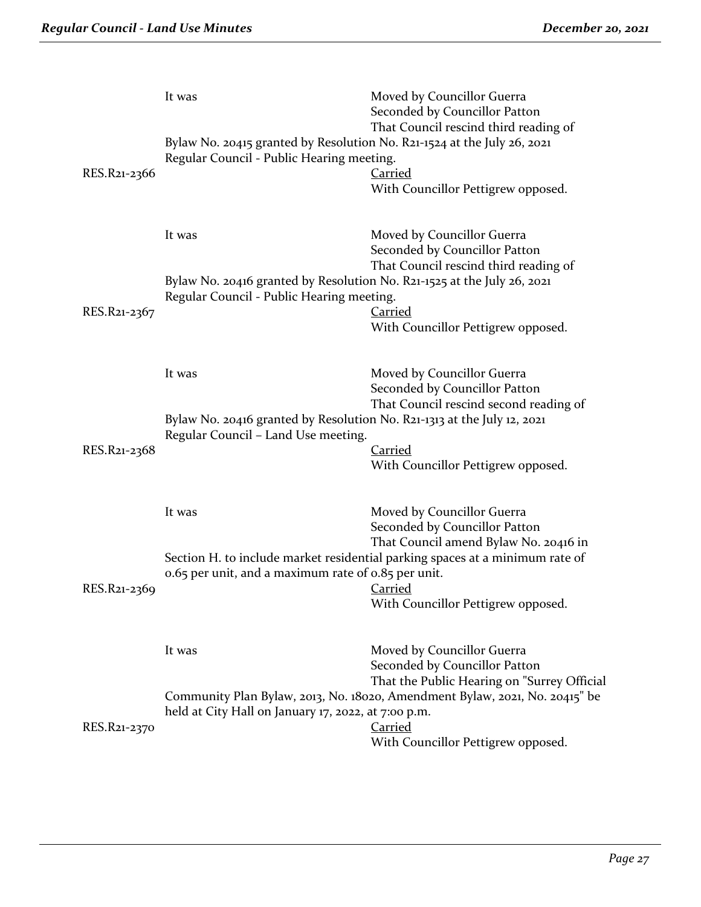| RES.R21-2366 | It was<br>Bylaw No. 20415 granted by Resolution No. R21-1524 at the July 26, 2021<br>Regular Council - Public Hearing meeting. | Moved by Councillor Guerra<br>Seconded by Councillor Patton<br>That Council rescind third reading of<br><b>Carried</b><br>With Councillor Pettigrew opposed.                                                                                 |
|--------------|--------------------------------------------------------------------------------------------------------------------------------|----------------------------------------------------------------------------------------------------------------------------------------------------------------------------------------------------------------------------------------------|
| RES.R21-2367 | It was<br>Bylaw No. 20416 granted by Resolution No. R21-1525 at the July 26, 2021<br>Regular Council - Public Hearing meeting. | Moved by Councillor Guerra<br>Seconded by Councillor Patton<br>That Council rescind third reading of<br>Carried<br>With Councillor Pettigrew opposed.                                                                                        |
| RES.R21-2368 | It was<br>Bylaw No. 20416 granted by Resolution No. R21-1313 at the July 12, 2021<br>Regular Council - Land Use meeting.       | Moved by Councillor Guerra<br>Seconded by Councillor Patton<br>That Council rescind second reading of<br><b>Carried</b><br>With Councillor Pettigrew opposed.                                                                                |
| RES.R21-2369 | It was<br>0.65 per unit, and a maximum rate of 0.85 per unit.                                                                  | Moved by Councillor Guerra<br>Seconded by Councillor Patton<br>That Council amend Bylaw No. 20416 in<br>Section H. to include market residential parking spaces at a minimum rate of<br><b>Carried</b><br>With Councillor Pettigrew opposed. |
| RES.R21-2370 | It was<br>held at City Hall on January 17, 2022, at 7:00 p.m.                                                                  | Moved by Councillor Guerra<br>Seconded by Councillor Patton<br>That the Public Hearing on "Surrey Official<br>Community Plan Bylaw, 2013, No. 18020, Amendment Bylaw, 2021, No. 20415" be<br>Carried<br>With Councillor Pettigrew opposed.   |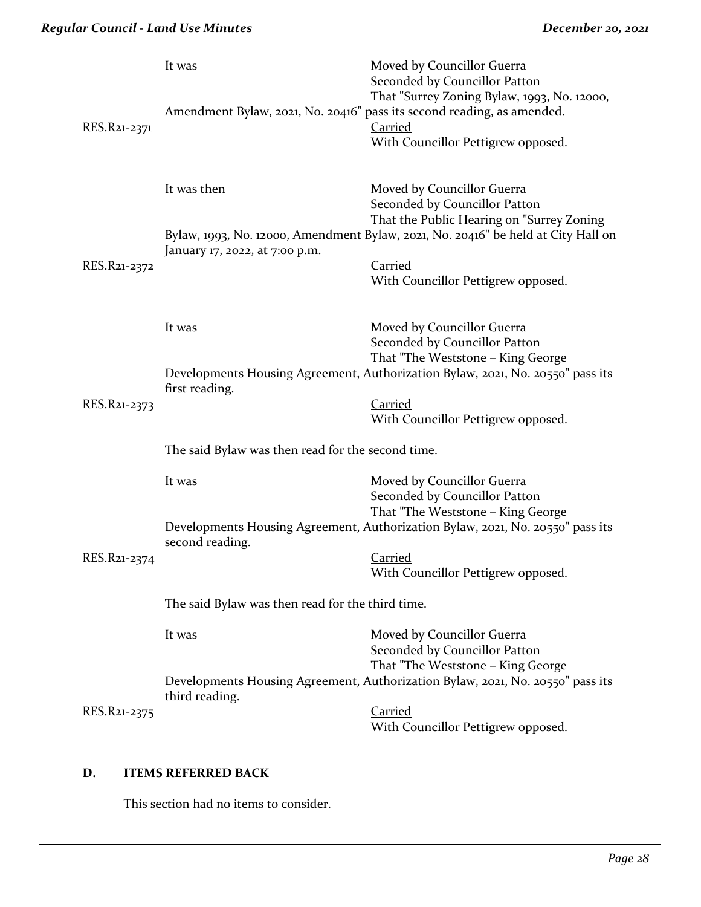| RES.R21-2371 | It was                                            | Moved by Councillor Guerra<br>Seconded by Councillor Patton<br>That "Surrey Zoning Bylaw, 1993, No. 12000,<br>Amendment Bylaw, 2021, No. 20416" pass its second reading, as amended.<br><b>Carried</b><br>With Councillor Pettigrew opposed. |
|--------------|---------------------------------------------------|----------------------------------------------------------------------------------------------------------------------------------------------------------------------------------------------------------------------------------------------|
|              | It was then                                       | Moved by Councillor Guerra<br>Seconded by Councillor Patton<br>That the Public Hearing on "Surrey Zoning<br>Bylaw, 1993, No. 12000, Amendment Bylaw, 2021, No. 20416" be held at City Hall on                                                |
| RES.R21-2372 | January 17, 2022, at 7:00 p.m.                    | <b>Carried</b><br>With Councillor Pettigrew opposed.                                                                                                                                                                                         |
|              | It was                                            | Moved by Councillor Guerra<br>Seconded by Councillor Patton<br>That "The Weststone - King George                                                                                                                                             |
| RES.R21-2373 | first reading.                                    | Developments Housing Agreement, Authorization Bylaw, 2021, No. 20550" pass its<br><b>Carried</b><br>With Councillor Pettigrew opposed.                                                                                                       |
|              | The said Bylaw was then read for the second time. |                                                                                                                                                                                                                                              |
|              | It was                                            | Moved by Councillor Guerra<br>Seconded by Councillor Patton                                                                                                                                                                                  |
|              | second reading.                                   | That "The Weststone - King George<br>Developments Housing Agreement, Authorization Bylaw, 2021, No. 20550" pass its                                                                                                                          |
| RES.R21-2374 |                                                   | Carried<br>With Councillor Pettigrew opposed.                                                                                                                                                                                                |
|              | The said Bylaw was then read for the third time.  |                                                                                                                                                                                                                                              |
|              | It was                                            | Moved by Councillor Guerra<br>Seconded by Councillor Patton<br>That "The Weststone - King George                                                                                                                                             |
|              | third reading.                                    | Developments Housing Agreement, Authorization Bylaw, 2021, No. 20550" pass its                                                                                                                                                               |
| RES.R21-2375 |                                                   | Carried<br>With Councillor Pettigrew opposed.                                                                                                                                                                                                |

# **D. ITEMS REFERRED BACK**

This section had no items to consider.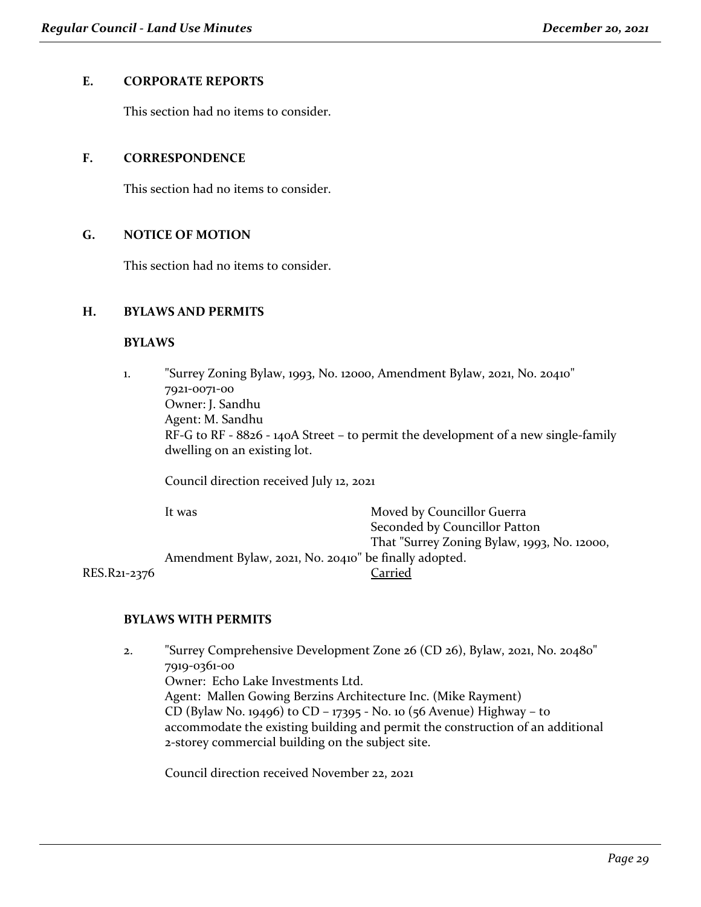#### **E. CORPORATE REPORTS**

This section had no items to consider.

#### **F. CORRESPONDENCE**

This section had no items to consider.

#### **G. NOTICE OF MOTION**

This section had no items to consider.

#### **H. BYLAWS AND PERMITS**

#### **BYLAWS**

1. "Surrey Zoning Bylaw, 1993, No. 12000, Amendment Bylaw, 2021, No. 20410" 7921-0071-00 Owner: J. Sandhu Agent: M. Sandhu RF-G to RF - 8826 - 140A Street – to permit the development of a new single-family dwelling on an existing lot.

Council direction received July 12, 2021

It was **Moved by Councillor Guerra** Seconded by Councillor Patton That "Surrey Zoning Bylaw, 1993, No. 12000, Amendment Bylaw, 2021, No. 20410" be finally adopted. RES.R21-2376 Carried

### **BYLAWS WITH PERMITS**

2. "Surrey Comprehensive Development Zone 26 (CD 26), Bylaw, 2021, No. 20480" 7919-0361-00 Owner: Echo Lake Investments Ltd. Agent: Mallen Gowing Berzins Architecture Inc. (Mike Rayment) CD (Bylaw No. 19496) to CD – 17395 - No. 10 (56 Avenue) Highway – to accommodate the existing building and permit the construction of an additional 2-storey commercial building on the subject site.

Council direction received November 22, 2021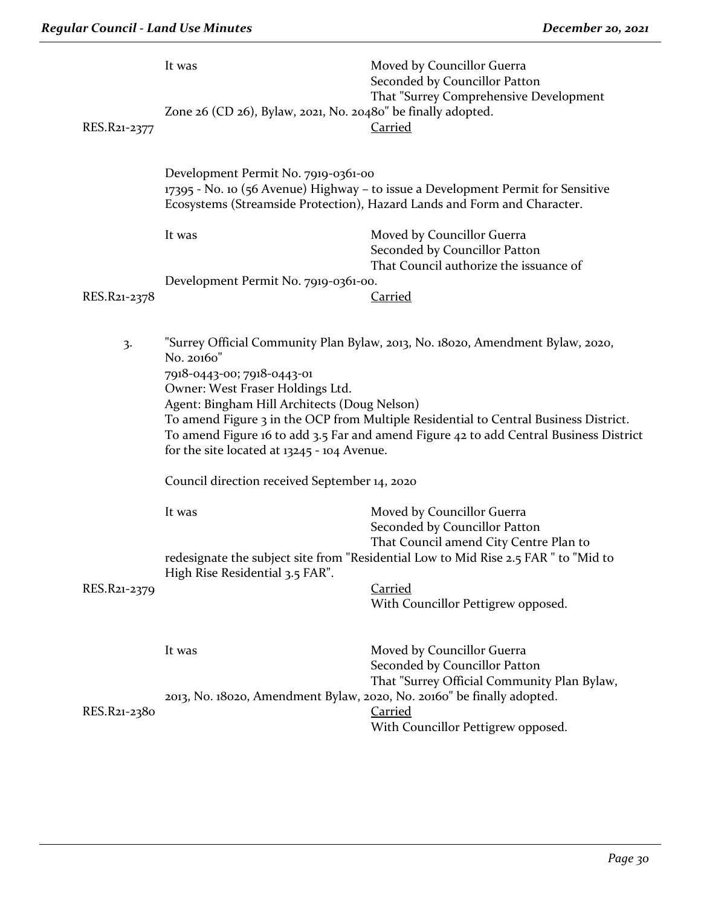|              | It was                                                                                                                                                                                                                         | Moved by Councillor Guerra<br>Seconded by Councillor Patton<br>That "Surrey Comprehensive Development                                                                                                                                                            |
|--------------|--------------------------------------------------------------------------------------------------------------------------------------------------------------------------------------------------------------------------------|------------------------------------------------------------------------------------------------------------------------------------------------------------------------------------------------------------------------------------------------------------------|
| RES.R21-2377 | Zone 26 (CD 26), Bylaw, 2021, No. 20480" be finally adopted.                                                                                                                                                                   | <b>Carried</b>                                                                                                                                                                                                                                                   |
|              | Development Permit No. 7919-0361-00                                                                                                                                                                                            | 17395 - No. 10 (56 Avenue) Highway – to issue a Development Permit for Sensitive<br>Ecosystems (Streamside Protection), Hazard Lands and Form and Character.                                                                                                     |
|              | It was                                                                                                                                                                                                                         | Moved by Councillor Guerra<br>Seconded by Councillor Patton<br>That Council authorize the issuance of                                                                                                                                                            |
|              | Development Permit No. 7919-0361-00.                                                                                                                                                                                           |                                                                                                                                                                                                                                                                  |
| RES.R21-2378 |                                                                                                                                                                                                                                | <b>Carried</b>                                                                                                                                                                                                                                                   |
| 3.           | No. 20160"<br>7918-0443-00; 7918-0443-01<br>Owner: West Fraser Holdings Ltd.<br>Agent: Bingham Hill Architects (Doug Nelson)<br>for the site located at $13245 - 104$ Avenue.<br>Council direction received September 14, 2020 | "Surrey Official Community Plan Bylaw, 2013, No. 18020, Amendment Bylaw, 2020,<br>To amend Figure 3 in the OCP from Multiple Residential to Central Business District.<br>To amend Figure 16 to add 3.5 Far and amend Figure 42 to add Central Business District |
|              |                                                                                                                                                                                                                                |                                                                                                                                                                                                                                                                  |
|              | It was                                                                                                                                                                                                                         | Moved by Councillor Guerra<br>Seconded by Councillor Patton<br>That Council amend City Centre Plan to<br>redesignate the subject site from "Residential Low to Mid Rise 2.5 FAR" to "Mid to                                                                      |
|              | High Rise Residential 3.5 FAR".                                                                                                                                                                                                |                                                                                                                                                                                                                                                                  |
| RES.R21-2379 |                                                                                                                                                                                                                                | <b>Carried</b><br>With Councillor Pettigrew opposed.                                                                                                                                                                                                             |
|              | It was                                                                                                                                                                                                                         | Moved by Councillor Guerra<br>Seconded by Councillor Patton<br>That "Surrey Official Community Plan Bylaw,                                                                                                                                                       |
| RES.R21-2380 | 2013, No. 18020, Amendment Bylaw, 2020, No. 20160" be finally adopted.                                                                                                                                                         | <b>Carried</b><br>With Councillor Pettigrew opposed.                                                                                                                                                                                                             |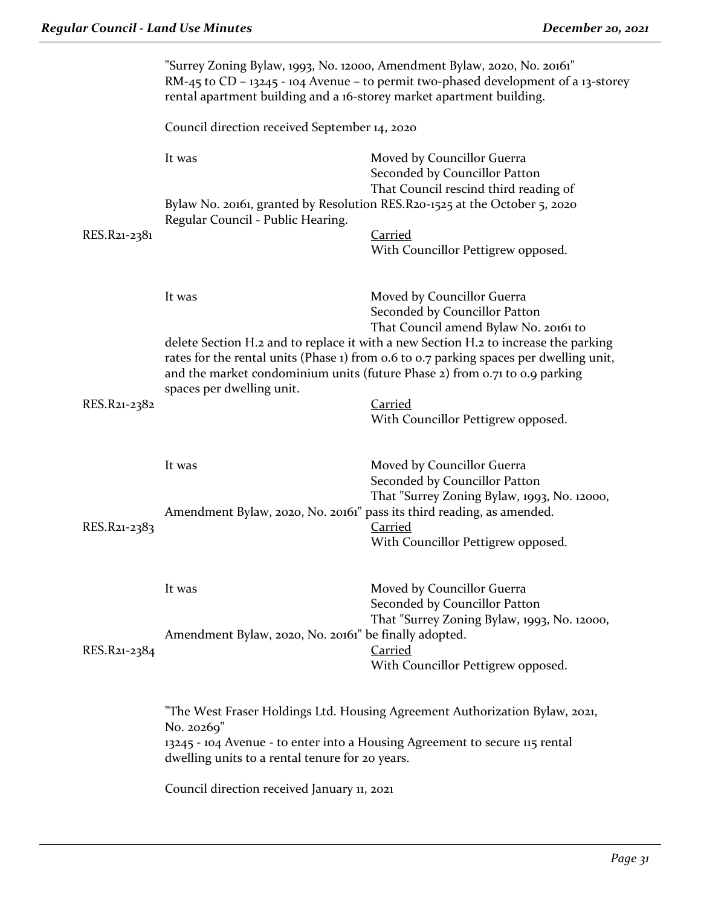|              | "Surrey Zoning Bylaw, 1993, No. 12000, Amendment Bylaw, 2020, No. 20161"<br>RM-45 to CD - 13245 - 104 Avenue - to permit two-phased development of a 13-storey<br>rental apartment building and a 16-storey market apartment building. |                                                                                                                                                                                                                                                                                                      |  |
|--------------|----------------------------------------------------------------------------------------------------------------------------------------------------------------------------------------------------------------------------------------|------------------------------------------------------------------------------------------------------------------------------------------------------------------------------------------------------------------------------------------------------------------------------------------------------|--|
|              | Council direction received September 14, 2020                                                                                                                                                                                          |                                                                                                                                                                                                                                                                                                      |  |
|              | It was                                                                                                                                                                                                                                 | Moved by Councillor Guerra<br>Seconded by Councillor Patton<br>That Council rescind third reading of                                                                                                                                                                                                 |  |
| RES.R21-2381 | Regular Council - Public Hearing.                                                                                                                                                                                                      | Bylaw No. 20161, granted by Resolution RES. R20-1525 at the October 5, 2020<br>Carried                                                                                                                                                                                                               |  |
|              |                                                                                                                                                                                                                                        | With Councillor Pettigrew opposed.                                                                                                                                                                                                                                                                   |  |
|              | It was                                                                                                                                                                                                                                 | Moved by Councillor Guerra<br>Seconded by Councillor Patton                                                                                                                                                                                                                                          |  |
|              | spaces per dwelling unit.                                                                                                                                                                                                              | That Council amend Bylaw No. 20161 to<br>delete Section H.2 and to replace it with a new Section H.2 to increase the parking<br>rates for the rental units (Phase 1) from 0.6 to 0.7 parking spaces per dwelling unit,<br>and the market condominium units (future Phase 2) from 0.71 to 0.9 parking |  |
| RES.R21-2382 |                                                                                                                                                                                                                                        | <b>Carried</b><br>With Councillor Pettigrew opposed.                                                                                                                                                                                                                                                 |  |
|              | It was                                                                                                                                                                                                                                 | Moved by Councillor Guerra<br>Seconded by Councillor Patton<br>That "Surrey Zoning Bylaw, 1993, No. 12000,                                                                                                                                                                                           |  |
| RES.R21-2383 | Amendment Bylaw, 2020, No. 20161" pass its third reading, as amended.                                                                                                                                                                  | Carried<br>With Councillor Pettigrew opposed.                                                                                                                                                                                                                                                        |  |
|              | It was                                                                                                                                                                                                                                 | Moved by Councillor Guerra<br>Seconded by Councillor Patton<br>That "Surrey Zoning Bylaw, 1993, No. 12000,                                                                                                                                                                                           |  |
| RES.R21-2384 | Amendment Bylaw, 2020, No. 20161" be finally adopted.                                                                                                                                                                                  | <b>Carried</b><br>With Councillor Pettigrew opposed.                                                                                                                                                                                                                                                 |  |
|              | No. 20269"                                                                                                                                                                                                                             | "The West Fraser Holdings Ltd. Housing Agreement Authorization Bylaw, 2021,                                                                                                                                                                                                                          |  |
|              | dwelling units to a rental tenure for 20 years.                                                                                                                                                                                        | 13245 - 104 Avenue - to enter into a Housing Agreement to secure 115 rental                                                                                                                                                                                                                          |  |
|              | Council direction received January 11, 2021                                                                                                                                                                                            |                                                                                                                                                                                                                                                                                                      |  |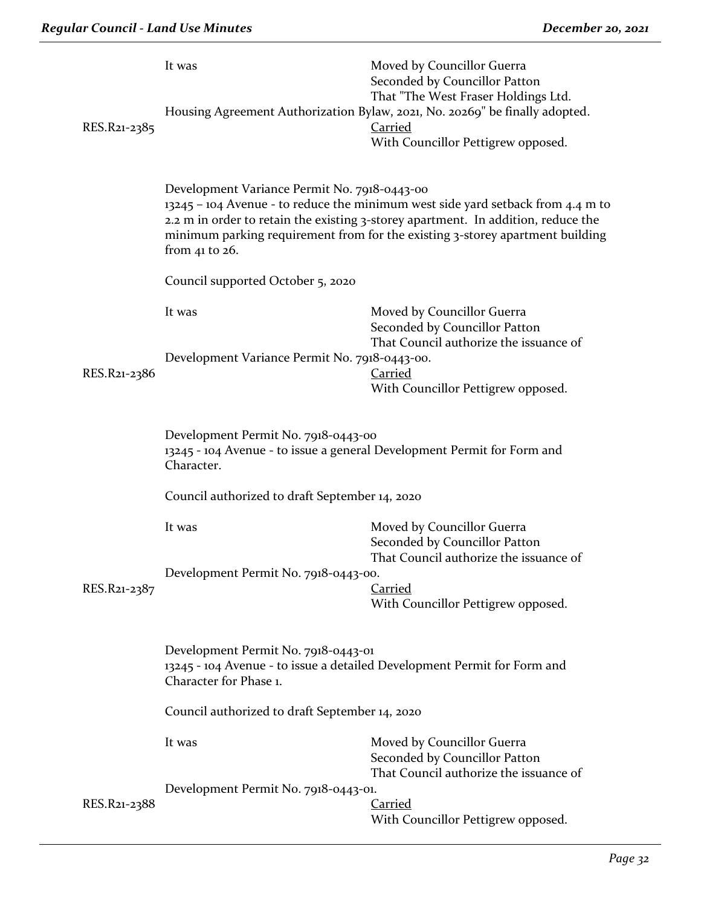| RES.R21-2385 | It was                                                                                                                       | Moved by Councillor Guerra<br>Seconded by Councillor Patton<br>That "The West Fraser Holdings Ltd.<br>Housing Agreement Authorization Bylaw, 2021, No. 20269" be finally adopted.<br><b>Carried</b><br>With Councillor Pettigrew opposed.             |
|--------------|------------------------------------------------------------------------------------------------------------------------------|-------------------------------------------------------------------------------------------------------------------------------------------------------------------------------------------------------------------------------------------------------|
|              | Development Variance Permit No. 7918-0443-00<br>from 41 to $26$ .                                                            | 13245 – 104 Avenue - to reduce the minimum west side yard setback from 4.4 m to<br>2.2 m in order to retain the existing 3-storey apartment. In addition, reduce the<br>minimum parking requirement from for the existing 3-storey apartment building |
|              | Council supported October 5, 2020                                                                                            |                                                                                                                                                                                                                                                       |
|              | It was                                                                                                                       | Moved by Councillor Guerra<br>Seconded by Councillor Patton<br>That Council authorize the issuance of                                                                                                                                                 |
| RES.R21-2386 | Development Variance Permit No. 7918-0443-00.                                                                                | <b>Carried</b><br>With Councillor Pettigrew opposed.                                                                                                                                                                                                  |
|              | Development Permit No. 7918-0443-00<br>13245 - 104 Avenue - to issue a general Development Permit for Form and<br>Character. |                                                                                                                                                                                                                                                       |
|              | Council authorized to draft September 14, 2020                                                                               |                                                                                                                                                                                                                                                       |
|              | It was                                                                                                                       | Moved by Councillor Guerra<br>Seconded by Councillor Patton<br>That Council authorize the issuance of                                                                                                                                                 |
| RES.R21-2387 | Development Permit No. 7918-0443-00.                                                                                         | Carried                                                                                                                                                                                                                                               |
|              |                                                                                                                              | With Councillor Pettigrew opposed.                                                                                                                                                                                                                    |
|              | Development Permit No. 7918-0443-01<br>Character for Phase 1.                                                                | 13245 - 104 Avenue - to issue a detailed Development Permit for Form and                                                                                                                                                                              |
|              | Council authorized to draft September 14, 2020                                                                               |                                                                                                                                                                                                                                                       |
|              | It was                                                                                                                       | Moved by Councillor Guerra<br>Seconded by Councillor Patton<br>That Council authorize the issuance of                                                                                                                                                 |
| RES.R21-2388 | Development Permit No. 7918-0443-01.                                                                                         | <b>Carried</b><br>With Councillor Pettigrew opposed.                                                                                                                                                                                                  |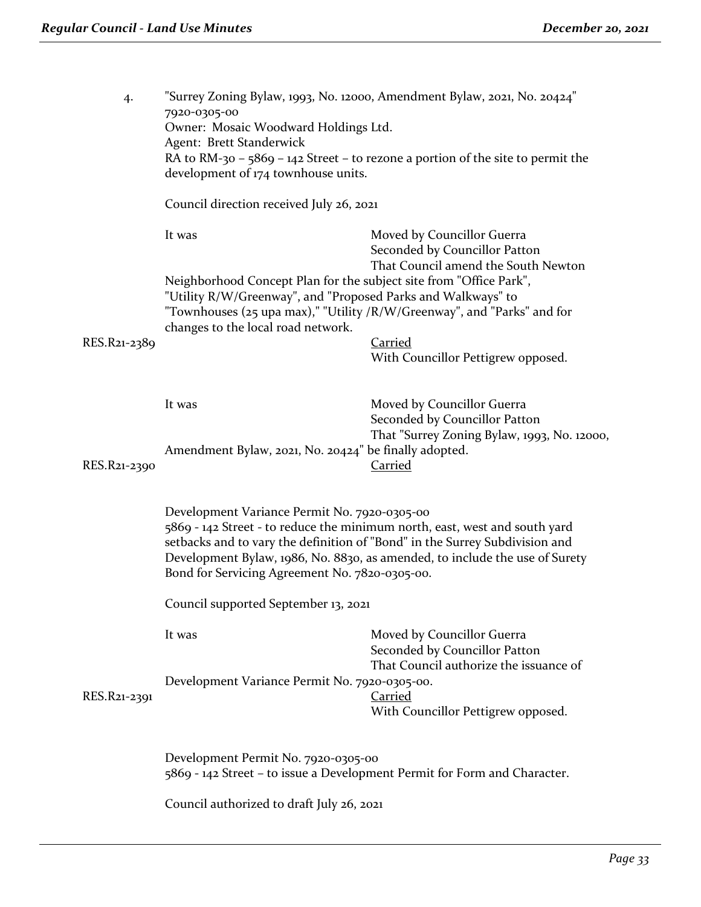| 4.           | "Surrey Zoning Bylaw, 1993, No. 12000, Amendment Bylaw, 2021, No. 20424"<br>7920-0305-00<br>Owner: Mosaic Woodward Holdings Ltd.<br>Agent: Brett Standerwick<br>RA to RM-30 - 5869 - 142 Street - to rezone a portion of the site to permit the<br>development of 174 townhouse units.                                                     |                                                                                                            |  |  |
|--------------|--------------------------------------------------------------------------------------------------------------------------------------------------------------------------------------------------------------------------------------------------------------------------------------------------------------------------------------------|------------------------------------------------------------------------------------------------------------|--|--|
|              | Council direction received July 26, 2021                                                                                                                                                                                                                                                                                                   |                                                                                                            |  |  |
|              | It was<br>Neighborhood Concept Plan for the subject site from "Office Park",                                                                                                                                                                                                                                                               | Moved by Councillor Guerra<br>Seconded by Councillor Patton<br>That Council amend the South Newton         |  |  |
|              | "Utility R/W/Greenway", and "Proposed Parks and Walkways" to<br>changes to the local road network.                                                                                                                                                                                                                                         | "Townhouses (25 upa max)," "Utility /R/W/Greenway", and "Parks" and for                                    |  |  |
| RES.R21-2389 |                                                                                                                                                                                                                                                                                                                                            | <b>Carried</b><br>With Councillor Pettigrew opposed.                                                       |  |  |
|              | It was                                                                                                                                                                                                                                                                                                                                     | Moved by Councillor Guerra<br>Seconded by Councillor Patton<br>That "Surrey Zoning Bylaw, 1993, No. 12000, |  |  |
| RES.R21-2390 | Amendment Bylaw, 2021, No. 20424" be finally adopted.                                                                                                                                                                                                                                                                                      | <b>Carried</b>                                                                                             |  |  |
|              | Development Variance Permit No. 7920-0305-00<br>5869 - 142 Street - to reduce the minimum north, east, west and south yard<br>setbacks and to vary the definition of "Bond" in the Surrey Subdivision and<br>Development Bylaw, 1986, No. 8830, as amended, to include the use of Surety<br>Bond for Servicing Agreement No. 7820-0305-00. |                                                                                                            |  |  |
|              | Council supported September 13, 2021                                                                                                                                                                                                                                                                                                       |                                                                                                            |  |  |
|              | It was                                                                                                                                                                                                                                                                                                                                     | Moved by Councillor Guerra<br>Seconded by Councillor Patton<br>That Council authorize the issuance of      |  |  |
| RES.R21-2391 | Development Variance Permit No. 7920-0305-00.                                                                                                                                                                                                                                                                                              | <b>Carried</b><br>With Councillor Pettigrew opposed.                                                       |  |  |
|              | Development Permit No. 7920-0305-00<br>5869 - 142 Street - to issue a Development Permit for Form and Character.                                                                                                                                                                                                                           |                                                                                                            |  |  |
|              | Council authorized to draft July 26, 2021                                                                                                                                                                                                                                                                                                  |                                                                                                            |  |  |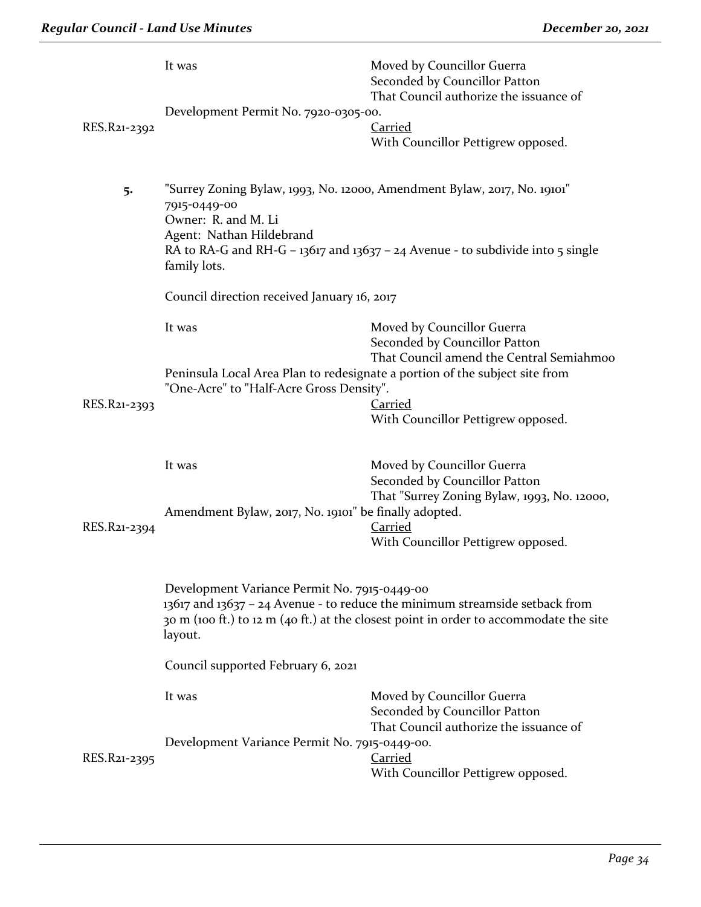|              | It was                                                                                                                                                                                                                                                                | Moved by Councillor Guerra<br>Seconded by Councillor Patton<br>That Council authorize the issuance of |  |
|--------------|-----------------------------------------------------------------------------------------------------------------------------------------------------------------------------------------------------------------------------------------------------------------------|-------------------------------------------------------------------------------------------------------|--|
|              | Development Permit No. 7920-0305-00.                                                                                                                                                                                                                                  |                                                                                                       |  |
| RES.R21-2392 |                                                                                                                                                                                                                                                                       | <b>Carried</b>                                                                                        |  |
|              |                                                                                                                                                                                                                                                                       | With Councillor Pettigrew opposed.                                                                    |  |
|              |                                                                                                                                                                                                                                                                       |                                                                                                       |  |
| 5.           | "Surrey Zoning Bylaw, 1993, No. 12000, Amendment Bylaw, 2017, No. 19101"<br>7915-0449-00<br>Owner: R. and M. Li<br>Agent: Nathan Hildebrand<br>RA to RA-G and RH-G - $13617$ and $13637 - 24$ Avenue - to subdivide into 5 single<br>family lots.                     |                                                                                                       |  |
|              | Council direction received January 16, 2017                                                                                                                                                                                                                           |                                                                                                       |  |
|              | It was                                                                                                                                                                                                                                                                | Moved by Councillor Guerra                                                                            |  |
|              |                                                                                                                                                                                                                                                                       | Seconded by Councillor Patton<br>That Council amend the Central Semiahmoo                             |  |
|              | Peninsula Local Area Plan to redesignate a portion of the subject site from<br>"One-Acre" to "Half-Acre Gross Density".                                                                                                                                               |                                                                                                       |  |
| RES.R21-2393 |                                                                                                                                                                                                                                                                       | <b>Carried</b>                                                                                        |  |
|              |                                                                                                                                                                                                                                                                       | With Councillor Pettigrew opposed.                                                                    |  |
|              | It was                                                                                                                                                                                                                                                                | Moved by Councillor Guerra                                                                            |  |
|              |                                                                                                                                                                                                                                                                       | Seconded by Councillor Patton                                                                         |  |
|              | That "Surrey Zoning Bylaw, 1993, No. 12000,<br>Amendment Bylaw, 2017, No. 19101" be finally adopted.                                                                                                                                                                  |                                                                                                       |  |
| RES.R21-2394 |                                                                                                                                                                                                                                                                       | Carried<br>With Councillor Pettigrew opposed.                                                         |  |
|              |                                                                                                                                                                                                                                                                       |                                                                                                       |  |
|              | Development Variance Permit No. 7915-0449-00<br>13617 and 13637 - 24 Avenue - to reduce the minimum streamside setback from<br>30 m (100 ft.) to 12 m (40 ft.) at the closest point in order to accommodate the site<br>layout.<br>Council supported February 6, 2021 |                                                                                                       |  |
|              |                                                                                                                                                                                                                                                                       |                                                                                                       |  |
|              | It was                                                                                                                                                                                                                                                                | Moved by Councillor Guerra<br>Seconded by Councillor Patton<br>That Council authorize the issuance of |  |
| RES.R21-2395 | Development Variance Permit No. 7915-0449-00.                                                                                                                                                                                                                         | <b>Carried</b><br>With Councillor Pettigrew opposed.                                                  |  |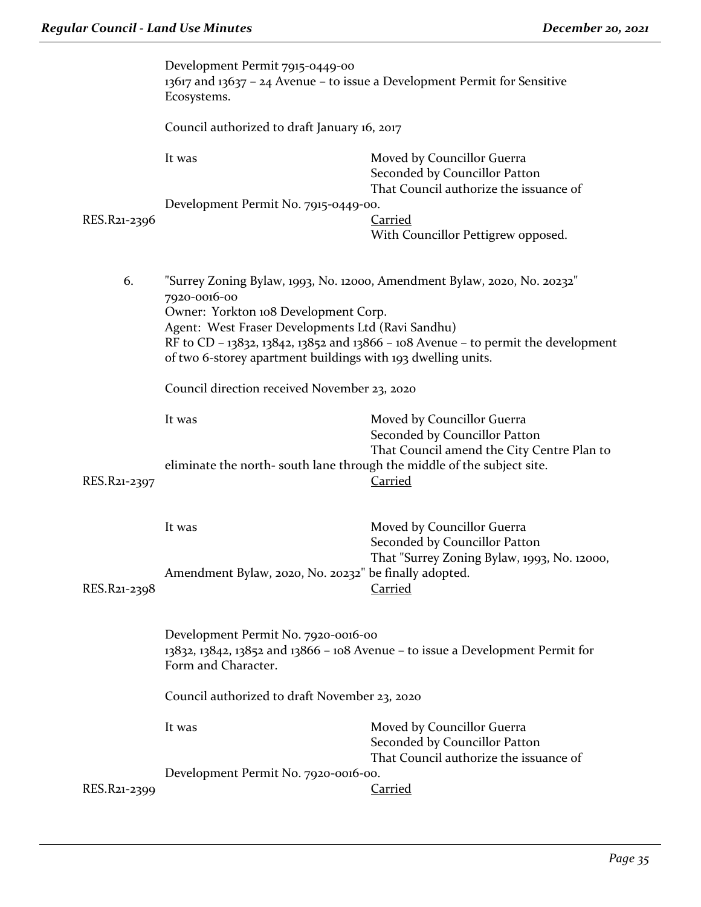|              | Development Permit 7915-0449-00<br>13617 and 13637 - 24 Avenue - to issue a Development Permit for Sensitive<br>Ecosystems.<br>Council authorized to draft January 16, 2017                                                                                                                                                                                                                |                                                                                                       |  |
|--------------|--------------------------------------------------------------------------------------------------------------------------------------------------------------------------------------------------------------------------------------------------------------------------------------------------------------------------------------------------------------------------------------------|-------------------------------------------------------------------------------------------------------|--|
|              |                                                                                                                                                                                                                                                                                                                                                                                            |                                                                                                       |  |
|              | It was                                                                                                                                                                                                                                                                                                                                                                                     | Moved by Councillor Guerra<br>Seconded by Councillor Patton<br>That Council authorize the issuance of |  |
|              | Development Permit No. 7915-0449-00.                                                                                                                                                                                                                                                                                                                                                       |                                                                                                       |  |
| RES.R21-2396 |                                                                                                                                                                                                                                                                                                                                                                                            | <b>Carried</b>                                                                                        |  |
|              |                                                                                                                                                                                                                                                                                                                                                                                            | With Councillor Pettigrew opposed.                                                                    |  |
| 6.           | "Surrey Zoning Bylaw, 1993, No. 12000, Amendment Bylaw, 2020, No. 20232"<br>7920-0016-00<br>Owner: Yorkton 108 Development Corp.<br>Agent: West Fraser Developments Ltd (Ravi Sandhu)<br>RF to CD - 13832, 13842, 13852 and 13866 - 108 Avenue - to permit the development<br>of two 6-storey apartment buildings with 193 dwelling units.<br>Council direction received November 23, 2020 |                                                                                                       |  |
|              |                                                                                                                                                                                                                                                                                                                                                                                            |                                                                                                       |  |
|              | It was                                                                                                                                                                                                                                                                                                                                                                                     | Moved by Councillor Guerra                                                                            |  |
| RES.R21-2397 | eliminate the north-south lane through the middle of the subject site.                                                                                                                                                                                                                                                                                                                     | Seconded by Councillor Patton<br>That Council amend the City Centre Plan to<br><b>Carried</b>         |  |
|              | It was                                                                                                                                                                                                                                                                                                                                                                                     | Moved by Councillor Guerra<br>Seconded by Councillor Patton                                           |  |
| RES.R21-2398 | Amendment Bylaw, 2020, No. 20232" be finally adopted.                                                                                                                                                                                                                                                                                                                                      | That "Surrey Zoning Bylaw, 1993, No. 12000,<br><b>Carried</b>                                         |  |
|              | Development Permit No. 7920-0016-00<br>13832, 13842, 13852 and 13866 - 108 Avenue - to issue a Development Permit for<br>Form and Character.                                                                                                                                                                                                                                               |                                                                                                       |  |
|              | Council authorized to draft November 23, 2020                                                                                                                                                                                                                                                                                                                                              |                                                                                                       |  |
|              | It was                                                                                                                                                                                                                                                                                                                                                                                     | Moved by Councillor Guerra<br>Seconded by Councillor Patton<br>That Council authorize the issuance of |  |
| RES.R21-2399 | Development Permit No. 7920-0016-00.                                                                                                                                                                                                                                                                                                                                                       | <b>Carried</b>                                                                                        |  |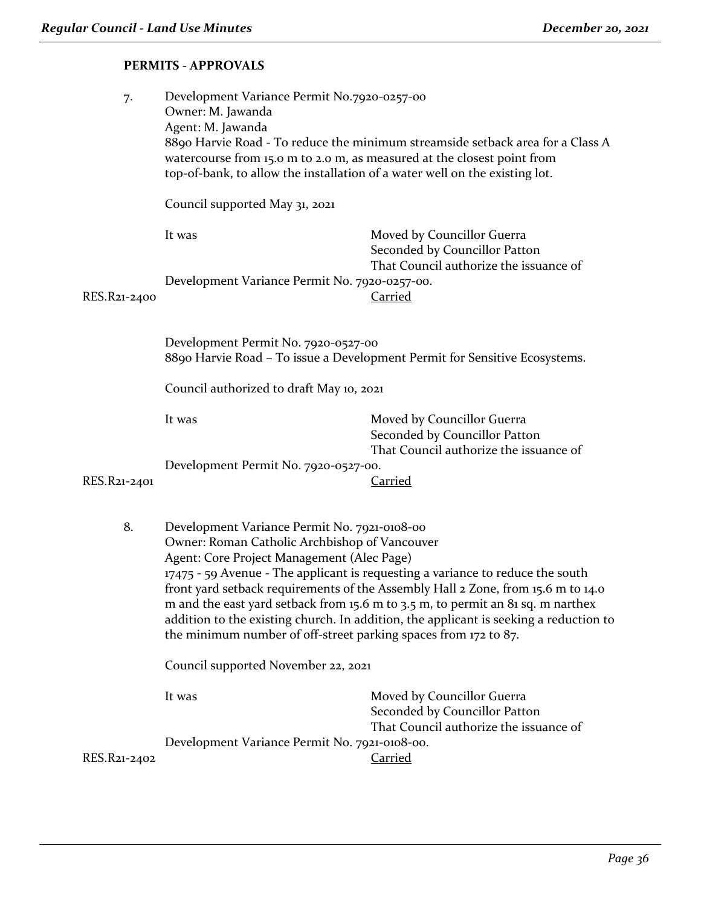# **PERMITS - APPROVALS**

| 7.           | Development Variance Permit No.7920-0257-00<br>Owner: M. Jawanda<br>Agent: M. Jawanda<br>8890 Harvie Road - To reduce the minimum streamside setback area for a Class A<br>watercourse from 15.0 m to 2.0 m, as measured at the closest point from<br>top-of-bank, to allow the installation of a water well on the existing lot.                                                                                                                                                                                                                                |                                                                                                                         |  |
|--------------|------------------------------------------------------------------------------------------------------------------------------------------------------------------------------------------------------------------------------------------------------------------------------------------------------------------------------------------------------------------------------------------------------------------------------------------------------------------------------------------------------------------------------------------------------------------|-------------------------------------------------------------------------------------------------------------------------|--|
| RES.R21-2400 | Council supported May 31, 2021                                                                                                                                                                                                                                                                                                                                                                                                                                                                                                                                   |                                                                                                                         |  |
|              | It was<br>Development Variance Permit No. 7920-0257-00.                                                                                                                                                                                                                                                                                                                                                                                                                                                                                                          | Moved by Councillor Guerra<br>Seconded by Councillor Patton<br>That Council authorize the issuance of<br><b>Carried</b> |  |
|              | Development Permit No. 7920-0527-00<br>8890 Harvie Road - To issue a Development Permit for Sensitive Ecosystems.                                                                                                                                                                                                                                                                                                                                                                                                                                                |                                                                                                                         |  |
|              | Council authorized to draft May 10, 2021                                                                                                                                                                                                                                                                                                                                                                                                                                                                                                                         |                                                                                                                         |  |
| RES.R21-2401 | It was<br>Development Permit No. 7920-0527-00.                                                                                                                                                                                                                                                                                                                                                                                                                                                                                                                   | Moved by Councillor Guerra<br>Seconded by Councillor Patton<br>That Council authorize the issuance of<br>Carried        |  |
| 8.           | Development Variance Permit No. 7921-0108-00<br>Owner: Roman Catholic Archbishop of Vancouver<br>Agent: Core Project Management (Alec Page)<br>17475 - 59 Avenue - The applicant is requesting a variance to reduce the south<br>front yard setback requirements of the Assembly Hall 2 Zone, from 15.6 m to 14.0<br>m and the east yard setback from 15.6 m to 3.5 m, to permit an 81 sq. m narthex<br>addition to the existing church. In addition, the applicant is seeking a reduction to<br>the minimum number of off-street parking spaces from 172 to 87. |                                                                                                                         |  |
|              | Council supported November 22, 2021                                                                                                                                                                                                                                                                                                                                                                                                                                                                                                                              |                                                                                                                         |  |
|              | It was<br>Development Variance Permit No. 7921-0108-00.                                                                                                                                                                                                                                                                                                                                                                                                                                                                                                          | Moved by Councillor Guerra<br>Seconded by Councillor Patton<br>That Council authorize the issuance of                   |  |
| RES.R21-2402 |                                                                                                                                                                                                                                                                                                                                                                                                                                                                                                                                                                  | Carried                                                                                                                 |  |
|              |                                                                                                                                                                                                                                                                                                                                                                                                                                                                                                                                                                  |                                                                                                                         |  |